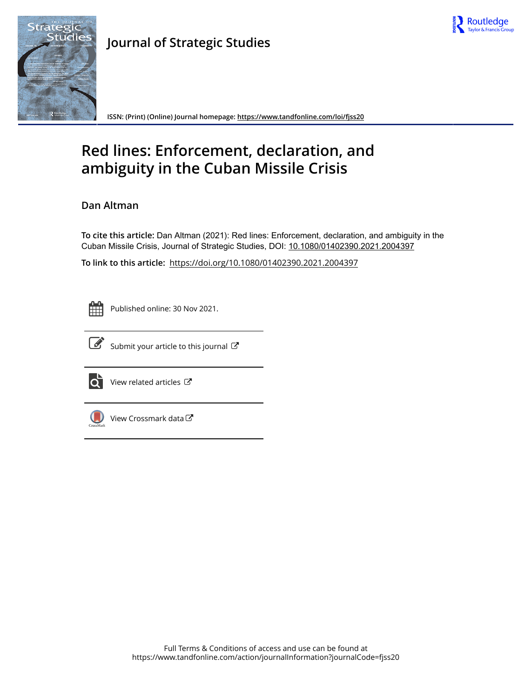



**Journal of Strategic Studies**

**ISSN: (Print) (Online) Journal homepage:<https://www.tandfonline.com/loi/fjss20>**

# **Red lines: Enforcement, declaration, and ambiguity in the Cuban Missile Crisis**

# **Dan Altman**

**To cite this article:** Dan Altman (2021): Red lines: Enforcement, declaration, and ambiguity in the Cuban Missile Crisis, Journal of Strategic Studies, DOI: [10.1080/01402390.2021.2004397](https://www.tandfonline.com/action/showCitFormats?doi=10.1080/01402390.2021.2004397)

**To link to this article:** <https://doi.org/10.1080/01402390.2021.2004397>



Published online: 30 Nov 2021.



 $\overrightarrow{S}$  [Submit your article to this journal](https://www.tandfonline.com/action/authorSubmission?journalCode=fjss20&show=instructions)  $\overrightarrow{S}$ 



 $\overrightarrow{O}$  [View related articles](https://www.tandfonline.com/doi/mlt/10.1080/01402390.2021.2004397)  $\overrightarrow{C}$ 



[View Crossmark data](http://crossmark.crossref.org/dialog/?doi=10.1080/01402390.2021.2004397&domain=pdf&date_stamp=2021-11-30)<sup>C</sup>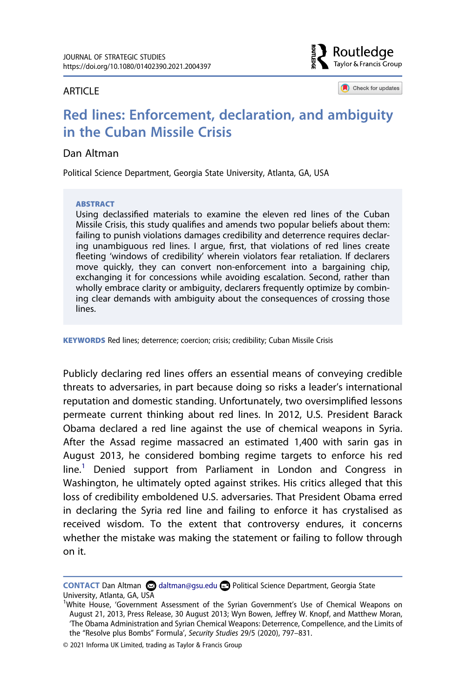#### **ARTICLE**



Check for updates

# **Red lines: Enforcement, declaration, and ambiguity in the Cuban Missile Crisis**

#### Dan Altman

Political Science Department, Georgia State University, Atlanta, GA, USA

#### **ABSTRACT**

Using declassified materials to examine the eleven red lines of the Cuban Missile Crisis, this study qualifies and amends two popular beliefs about them: failing to punish violations damages credibility and deterrence requires declaring unambiguous red lines. I argue, first, that violations of red lines create fleeting 'windows of credibility' wherein violators fear retaliation. If declarers move quickly, they can convert non-enforcement into a bargaining chip, exchanging it for concessions while avoiding escalation. Second, rather than wholly embrace clarity or ambiguity, declarers frequently optimize by combining clear demands with ambiguity about the consequences of crossing those lines.

**KEYWORDS** Red lines; deterrence; coercion; crisis; credibility; Cuban Missile Crisis

Publicly declaring red lines offers an essential means of conveying credible threats to adversaries, in part because doing so risks a leader's international reputation and domestic standing. Unfortunately, two oversimplified lessons permeate current thinking about red lines. In 2012, U.S. President Barack Obama declared a red line against the use of chemical weapons in Syria. After the Assad regime massacred an estimated 1,400 with sarin gas in August 2013, he considered bombing regime targets to enforce his red line.<sup>[1](#page-1-0)</sup> Denied support from Parliament in London and Congress in Washington, he ultimately opted against strikes. His critics alleged that this loss of credibility emboldened U.S. adversaries. That President Obama erred in declaring the Syria red line and failing to enforce it has crystalised as received wisdom. To the extent that controversy endures, it concerns whether the mistake was making the statement or failing to follow through on it.

© 2021 Informa UK Limited, trading as Taylor & Francis Group

**CONTACT** Dan Altman **Q** daltman@gsu.edu **Q** Political Science Department, Georgia State University, Atlanta, GA, USA <sup>1</sup>

<span id="page-1-0"></span><sup>&</sup>lt;sup>1</sup>White House, 'Government Assessment of the Syrian Government's Use of Chemical Weapons on August 21, 2013, Press Release, 30 August 2013; Wyn Bowen, Jeffrey W. Knopf, and Matthew Moran, 'The Obama Administration and Syrian Chemical Weapons: Deterrence, Compellence, and the Limits of the "Resolve plus Bombs" Formula', *Security Studies* 29/5 (2020), 797–831.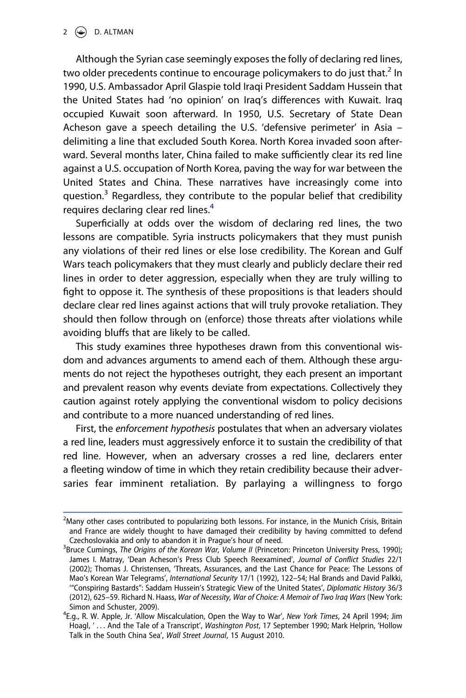$2 \quad \Leftrightarrow \quad D.$  ALTMAN

Although the Syrian case seemingly exposes the folly of declaring red lines, two older precedents continue to encourage policymakers to do just that.<sup>2</sup> In 1990, U.S. Ambassador April Glaspie told Iraqi President Saddam Hussein that the United States had 'no opinion' on Iraq's differences with Kuwait. Iraq occupied Kuwait soon afterward. In 1950, U.S. Secretary of State Dean Acheson gave a speech detailing the U.S. 'defensive perimeter' in Asia – delimiting a line that excluded South Korea. North Korea invaded soon afterward. Several months later, China failed to make sufficiently clear its red line against a U.S. occupation of North Korea, paving the way for war between the United States and China. These narratives have increasingly come into question. $3$  Regardless, they contribute to the popular belief that credibility requires declaring clear red lines.<sup>4</sup>

Superficially at odds over the wisdom of declaring red lines, the two lessons are compatible. Syria instructs policymakers that they must punish any violations of their red lines or else lose credibility. The Korean and Gulf Wars teach policymakers that they must clearly and publicly declare their red lines in order to deter aggression, especially when they are truly willing to fight to oppose it. The synthesis of these propositions is that leaders should declare clear red lines against actions that will truly provoke retaliation. They should then follow through on (enforce) those threats after violations while avoiding bluffs that are likely to be called.

This study examines three hypotheses drawn from this conventional wisdom and advances arguments to amend each of them. Although these arguments do not reject the hypotheses outright, they each present an important and prevalent reason why events deviate from expectations. Collectively they caution against rotely applying the conventional wisdom to policy decisions and contribute to a more nuanced understanding of red lines.

First, the *enforcement hypothesis* postulates that when an adversary violates a red line, leaders must aggressively enforce it to sustain the credibility of that red line. However, when an adversary crosses a red line, declarers enter a fleeting window of time in which they retain credibility because their adversaries fear imminent retaliation. By parlaying a willingness to forgo

<span id="page-2-0"></span> $<sup>2</sup>$ Many other cases contributed to popularizing both lessons. For instance, in the Munich Crisis, Britain</sup> and France are widely thought to have damaged their credibility by having committed to defend Czechoslovakia and only to abandon it in Prague's hour of need. <sup>3</sup>

<span id="page-2-1"></span><sup>&</sup>lt;sup>3</sup>Bruce Cumings, *The Origins of the Korean War, Volume II (Princeton: Princeton University Press, 1990);* James I. Matray, 'Dean Acheson's Press Club Speech Reexamined', *Journal of Conflict Studies* 22/1 (2002); Thomas J. Christensen, 'Threats, Assurances, and the Last Chance for Peace: The Lessons of Mao's Korean War Telegrams', *International Security* 17/1 (1992), 122–54; Hal Brands and David Palkki, '"Conspiring Bastards": Saddam Hussein's Strategic View of the United States', *Diplomatic History* 36/3 (2012), 625–59. Richard N. Haass, *War of Necessity, War of Choice: A Memoir of Two Iraq Wars* (New York: Simon and Schuster, 2009).

<span id="page-2-2"></span>E.g., R. W. Apple, Jr. 'Allow Miscalculation, Open the Way to War', *New York Times*, 24 April 1994; Jim Hoagl, ' . . . And the Tale of a Transcript', *Washington Post*, 17 September 1990; Mark Helprin, 'Hollow Talk in the South China Sea', *Wall Street Journal*, 15 August 2010.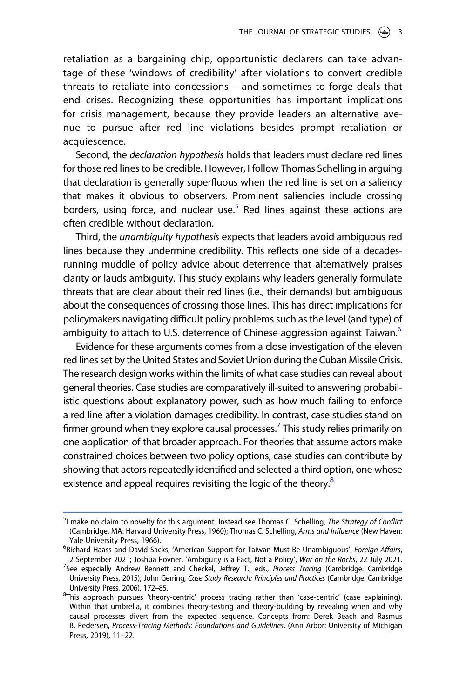retaliation as a bargaining chip, opportunistic declarers can take advantage of these 'windows of credibility' after violations to convert credible threats to retaliate into concessions – and sometimes to forge deals that end crises. Recognizing these opportunities has important implications for crisis management, because they provide leaders an alternative avenue to pursue after red line violations besides prompt retaliation or acquiescence.

Second, the *declaration hypothesis* holds that leaders must declare red lines for those red lines to be credible. However, I follow Thomas Schelling in arguing that declaration is generally superfluous when the red line is set on a saliency that makes it obvious to observers. Prominent saliencies include crossing borders, using force, and nuclear use.<sup>5</sup> Red lines against these actions are often credible without declaration.

Third, the *unambiguity hypothesis* expects that leaders avoid ambiguous red lines because they undermine credibility. This reflects one side of a decadesrunning muddle of policy advice about deterrence that alternatively praises clarity or lauds ambiguity. This study explains why leaders generally formulate threats that are clear about their red lines (i.e., their demands) but ambiguous about the consequences of crossing those lines. This has direct implications for policymakers navigating difficult policy problems such as the level (and type) of ambiguity to attach to U.S. deterrence of Chinese aggression against Taiwan.<sup>[6](#page-3-1)</sup>

Evidence for these arguments comes from a close investigation of the eleven red lines set by the United States and Soviet Union during the Cuban Missile Crisis. The research design works within the limits of what case studies can reveal about general theories. Case studies are comparatively ill-suited to answering probabilistic questions about explanatory power, such as how much failing to enforce a red line after a violation damages credibility. In contrast, case studies stand on firmer ground when they explore causal processes.<sup>7</sup> This study relies primarily on one application of that broader approach. For theories that assume actors make constrained choices between two policy options, case studies can contribute by showing that actors repeatedly identified and selected a third option, one whose existence and appeal requires revisiting the logic of the theory.<sup>8</sup>

<span id="page-3-0"></span><sup>5</sup> I make no claim to novelty for this argument. Instead see Thomas C. Schelling, *The Strategy of Conflict*  (Cambridge, MA: Harvard University Press, 1960); Thomas C. Schelling, *Arms and Influence* (New Haven: Yale University Press, 1966).

<span id="page-3-1"></span>Richard Haass and David Sacks, 'American Support for Taiwan Must Be Unambiguous', *Foreign Affairs*, 2 September 2021; Joshua Rovner, 'Ambiguity is a Fact, Not a Policy', *War on the Rocks*, 22 July 2021. <sup>7</sup>

<span id="page-3-2"></span>See especially Andrew Bennett and Checkel, Jeffrey T., eds., *Process Tracing* (Cambridge: Cambridge University Press, 2015); John Gerring, *Case Study Research: Principles and Practices* (Cambridge: Cambridge University Press, 2006), 172–85. <sup>8</sup>

<span id="page-3-3"></span> ${}^{8}$ This approach pursues 'theory-centric' process tracing rather than 'case-centric' (case explaining). Within that umbrella, it combines theory-testing and theory-building by revealing when and why causal processes divert from the expected sequence. Concepts from: Derek Beach and Rasmus B. Pedersen, *Process-Tracing Methods: Foundations and Guidelines*. (Ann Arbor: University of Michigan Press, 2019), 11–22.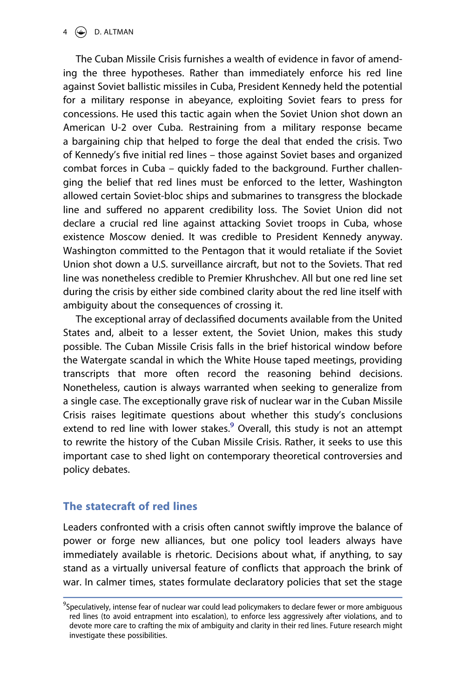The Cuban Missile Crisis furnishes a wealth of evidence in favor of amending the three hypotheses. Rather than immediately enforce his red line against Soviet ballistic missiles in Cuba, President Kennedy held the potential for a military response in abeyance, exploiting Soviet fears to press for concessions. He used this tactic again when the Soviet Union shot down an American U-2 over Cuba. Restraining from a military response became a bargaining chip that helped to forge the deal that ended the crisis. Two of Kennedy's five initial red lines – those against Soviet bases and organized combat forces in Cuba – quickly faded to the background. Further challenging the belief that red lines must be enforced to the letter, Washington allowed certain Soviet-bloc ships and submarines to transgress the blockade line and suffered no apparent credibility loss. The Soviet Union did not declare a crucial red line against attacking Soviet troops in Cuba, whose existence Moscow denied. It was credible to President Kennedy anyway. Washington committed to the Pentagon that it would retaliate if the Soviet Union shot down a U.S. surveillance aircraft, but not to the Soviets. That red line was nonetheless credible to Premier Khrushchev. All but one red line set during the crisis by either side combined clarity about the red line itself with ambiguity about the consequences of crossing it.

The exceptional array of declassified documents available from the United States and, albeit to a lesser extent, the Soviet Union, makes this study possible. The Cuban Missile Crisis falls in the brief historical window before the Watergate scandal in which the White House taped meetings, providing transcripts that more often record the reasoning behind decisions. Nonetheless, caution is always warranted when seeking to generalize from a single case. The exceptionally grave risk of nuclear war in the Cuban Missile Crisis raises legitimate questions about whether this study's conclusions extend to red line with lower stakes.<sup>[9](#page-4-0)</sup> Overall, this study is not an attempt to rewrite the history of the Cuban Missile Crisis. Rather, it seeks to use this important case to shed light on contemporary theoretical controversies and policy debates.

# **The statecraft of red lines**

Leaders confronted with a crisis often cannot swiftly improve the balance of power or forge new alliances, but one policy tool leaders always have immediately available is rhetoric. Decisions about what, if anything, to say stand as a virtually universal feature of conflicts that approach the brink of war. In calmer times, states formulate declaratory policies that set the stage

<span id="page-4-0"></span><sup>9</sup> Speculatively, intense fear of nuclear war could lead policymakers to declare fewer or more ambiguous red lines (to avoid entrapment into escalation), to enforce less aggressively after violations, and to devote more care to crafting the mix of ambiguity and clarity in their red lines. Future research might investigate these possibilities.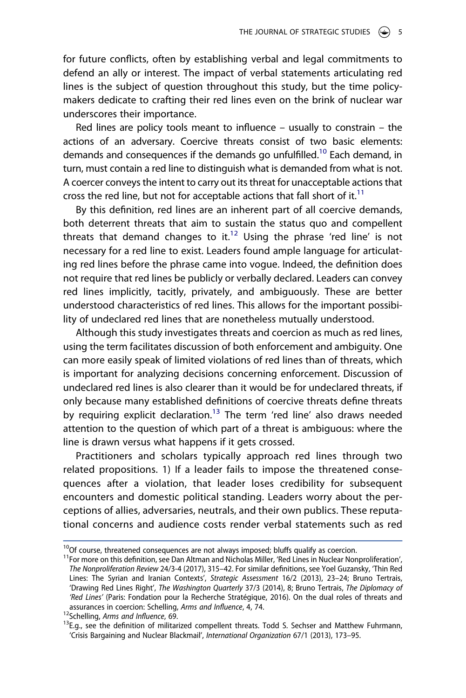for future conflicts, often by establishing verbal and legal commitments to defend an ally or interest. The impact of verbal statements articulating red lines is the subject of question throughout this study, but the time policymakers dedicate to crafting their red lines even on the brink of nuclear war underscores their importance.

Red lines are policy tools meant to influence – usually to constrain – the actions of an adversary. Coercive threats consist of two basic elements: demands and consequences if the demands go unfulfilled.<sup>10</sup> Each demand, in turn, must contain a red line to distinguish what is demanded from what is not. A coercer conveys the intent to carry out its threat for unacceptable actions that cross the red line, but not for acceptable actions that fall short of it.<sup>[11](#page-5-1)</sup>

By this definition, red lines are an inherent part of all coercive demands, both deterrent threats that aim to sustain the status quo and compellent threats that demand changes to it.<sup>12</sup> Using the phrase 'red line' is not necessary for a red line to exist. Leaders found ample language for articulating red lines before the phrase came into vogue. Indeed, the definition does not require that red lines be publicly or verbally declared. Leaders can convey red lines implicitly, tacitly, privately, and ambiguously. These are better understood characteristics of red lines. This allows for the important possibility of undeclared red lines that are nonetheless mutually understood.

Although this study investigates threats and coercion as much as red lines, using the term facilitates discussion of both enforcement and ambiguity. One can more easily speak of limited violations of red lines than of threats, which is important for analyzing decisions concerning enforcement. Discussion of undeclared red lines is also clearer than it would be for undeclared threats, if only because many established definitions of coercive threats define threats by requiring explicit declaration.<sup>13</sup> The term 'red line' also draws needed attention to the question of which part of a threat is ambiguous: where the line is drawn versus what happens if it gets crossed.

Practitioners and scholars typically approach red lines through two related propositions. 1) If a leader fails to impose the threatened consequences after a violation, that leader loses credibility for subsequent encounters and domestic political standing. Leaders worry about the perceptions of allies, adversaries, neutrals, and their own publics. These reputational concerns and audience costs render verbal statements such as red

<span id="page-5-1"></span>

<span id="page-5-0"></span><sup>&</sup>lt;sup>10</sup>Of course, threatened consequences are not always imposed; bluffs qualify as coercion.<br><sup>11</sup>For more on this definition, see Dan Altman and Nicholas Miller, 'Red Lines in Nuclear Nonproliferation', *The Nonproliferation Review* 24/3-4 (2017), 315–42. For similar definitions, see Yoel Guzansky, 'Thin Red Lines: The Syrian and Iranian Contexts', *Strategic Assessment* 16/2 (2013), 23–24; Bruno Tertrais, 'Drawing Red Lines Right', *The Washington Quarterly* 37/3 (2014), 8; Bruno Tertrais, *The Diplomacy of*  'Red Lines' (Paris: Fondation pour la Recherche Stratégique, 2016). On the dual roles of threats and<br>assurances in coercion: Schelling, Arms and Influence, 4, 74.

<span id="page-5-3"></span>

<span id="page-5-2"></span><sup>&</sup>lt;sup>12</sup>Schelling, *Arms and Influence*, 69.<br><sup>13</sup>E.g., see the definition of militarized compellent threats. Todd S. Sechser and Matthew Fuhrmann, 'Crisis Bargaining and Nuclear Blackmail', *International Organization* 67/1 (2013), 173–95.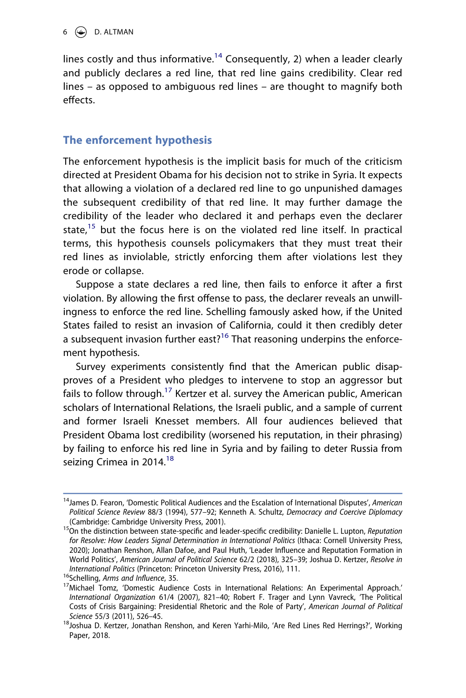lines costly and thus informative.<sup>[14](#page-6-0)</sup> Consequently, 2) when a leader clearly and publicly declares a red line, that red line gains credibility. Clear red lines – as opposed to ambiguous red lines – are thought to magnify both effects.

# **The enforcement hypothesis**

The enforcement hypothesis is the implicit basis for much of the criticism directed at President Obama for his decision not to strike in Syria. It expects that allowing a violation of a declared red line to go unpunished damages the subsequent credibility of that red line. It may further damage the credibility of the leader who declared it and perhaps even the declarer state,<sup>15</sup> but the focus here is on the violated red line itself. In practical terms, this hypothesis counsels policymakers that they must treat their red lines as inviolable, strictly enforcing them after violations lest they erode or collapse.

Suppose a state declares a red line, then fails to enforce it after a first violation. By allowing the first offense to pass, the declarer reveals an unwillingness to enforce the red line. Schelling famously asked how, if the United States failed to resist an invasion of California, could it then credibly deter a subsequent invasion further east?<sup>[16](#page-6-2)</sup> That reasoning underpins the enforcement hypothesis.

Survey experiments consistently find that the American public disapproves of a President who pledges to intervene to stop an aggressor but fails to follow through.<sup>17</sup> Kertzer et al. survey the American public, American scholars of International Relations, the Israeli public, and a sample of current and former Israeli Knesset members. All four audiences believed that President Obama lost credibility (worsened his reputation, in their phrasing) by failing to enforce his red line in Syria and by failing to deter Russia from seizing Crimea in 2014.<sup>[18](#page-6-4)</sup>

<span id="page-6-0"></span><sup>14</sup>James D. Fearon, 'Domestic Political Audiences and the Escalation of International Disputes', *American Political Science Review* 88/3 (1994), 577–92; Kenneth A. Schultz, *Democracy and Coercive Diplomacy* 

<span id="page-6-1"></span><sup>(</sup>Cambridge: Cambridge University Press, 2001). 15On the distinction between state-specific and leader-specific credibility: Danielle L. Lupton, *Reputation for Resolve: How Leaders Signal Determination in International Politics* (Ithaca: Cornell University Press, 2020); Jonathan Renshon, Allan Dafoe, and Paul Huth, 'Leader Influence and Reputation Formation in World Politics', *American Journal of Political Science* 62/2 (2018), 325–39; Joshua D. Kertzer, *Resolve in* 

<span id="page-6-3"></span>

<span id="page-6-2"></span><sup>&</sup>lt;sup>16</sup>Schelling, *Arms and Influence*, 35.<br><sup>17</sup>Michael Tomz, 'Domestic Audience Costs in International Relations: An Experimental Approach.' *International Organization* 61/4 (2007), 821–40; Robert F. Trager and Lynn Vavreck, 'The Political Costs of Crisis Bargaining: Presidential Rhetoric and the Role of Party', *American Journal of Political* 

<span id="page-6-4"></span>*Science* 55/3 (2011), 526–45.<br><sup>18</sup>Joshua D. Kertzer, Jonathan Renshon, and Keren Yarhi-Milo, 'Are Red Lines Red Herrings?', Working Paper, 2018.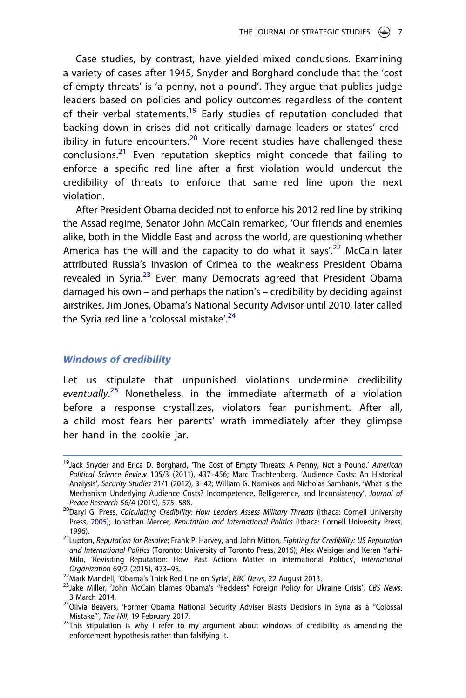Case studies, by contrast, have yielded mixed conclusions. Examining a variety of cases after 1945, Snyder and Borghard conclude that the 'cost of empty threats' is 'a penny, not a pound'. They argue that publics judge leaders based on policies and policy outcomes regardless of the content of their verbal statements.<sup>19</sup> Early studies of reputation concluded that backing down in crises did not critically damage leaders or states' credibility in future encounters.<sup>20</sup> More recent studies have challenged these conclusions. $21$  Even reputation skeptics might concede that failing to enforce a specific red line after a first violation would undercut the credibility of threats to enforce that same red line upon the next violation.

After President Obama decided not to enforce his 2012 red line by striking the Assad regime, Senator John McCain remarked, 'Our friends and enemies alike, both in the Middle East and across the world, are questioning whether America has the will and the capacity to do what it says'.<sup>22</sup> McCain later attributed Russia's invasion of Crimea to the weakness President Obama revealed in Syria.<sup>[23](#page-7-4)</sup> Even many Democrats agreed that President Obama damaged his own – and perhaps the nation's – credibility by deciding against airstrikes. Jim Jones, Obama's National Security Advisor until 2010, later called the Syria red line a 'colossal mistake'. $24$ 

#### *Windows of credibility*

Let us stipulate that unpunished violations undermine credibility *eventually*. [25](#page-7-6) Nonetheless, in the immediate aftermath of a violation before a response crystallizes, violators fear punishment. After all, a child most fears her parents' wrath immediately after they glimpse her hand in the cookie jar.

<span id="page-7-0"></span><sup>19</sup>Jack Snyder and Erica D. Borghard, 'The Cost of Empty Threats: A Penny, Not a Pound.' *American Political Science Review* 105/3 (2011), 437–456; Marc Trachtenberg. 'Audience Costs: An Historical Analysis', *Security Studies* 21/1 (2012), 3–42; William G. Nomikos and Nicholas Sambanis, 'What Is the Mechanism Underlying Audience Costs? Incompetence, Belligerence, and Inconsistency', *Journal of* 

<span id="page-7-7"></span><span id="page-7-1"></span><sup>&</sup>lt;sup>20</sup>Daryl G. Press, *Calculating Credibility: How Leaders Assess Military Threats* (Ithaca: Cornell University Press, [2005\)](#page-32-0); Jonathan Mercer, *Reputation and International Politics* (Ithaca: Cornell University Press,

<span id="page-7-2"></span><sup>1996).</sup> 21Lupton, *Reputation for Resolve*; Frank P. Harvey, and John Mitton, *Fighting for Credibility: US Reputation and International Politics* (Toronto: University of Toronto Press, 2016); Alex Weisiger and Keren Yarhi-Milo, 'Revisiting Reputation: How Past Actions Matter in International Politics', *International*  Organization 69/2 (2015), 473–95.<br><sup>22</sup>Mark Mandell, 'Obama's Thick Red Line on Syria', BBC News, 22 August 2013.<br><sup>23</sup>Jake Miller, 'John McCain blames Obama's "Feckless" Foreign Policy for Ukraine Crisis', *CBS News*,

<span id="page-7-3"></span>

<span id="page-7-4"></span>

<span id="page-7-5"></span><sup>3</sup> March 2014.<br><sup>24</sup>Olivia Beavers, 'Former Obama National Security Adviser Blasts Decisions in Syria as a "Colossal

<span id="page-7-6"></span>Mistake"', *The Hill*, 19 February 2017.<br><sup>25</sup>This stipulation is why I refer to my argument about windows of credibility as amending the enforcement hypothesis rather than falsifying it.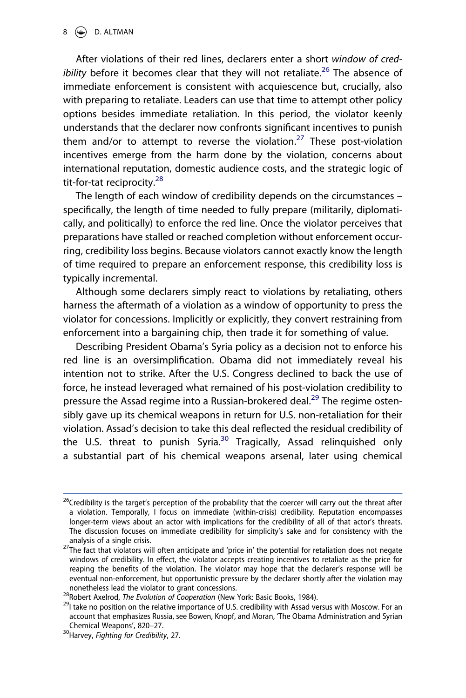After violations of their red lines, declarers enter a short *window of credibility* before it becomes clear that they will not retaliate.<sup>26</sup> The absence of immediate enforcement is consistent with acquiescence but, crucially, also with preparing to retaliate. Leaders can use that time to attempt other policy options besides immediate retaliation. In this period, the violator keenly understands that the declarer now confronts significant incentives to punish them and/or to attempt to reverse the violation.<sup>27</sup> These post-violation incentives emerge from the harm done by the violation, concerns about international reputation, domestic audience costs, and the strategic logic of tit-for-tat reciprocity.<sup>28</sup>

The length of each window of credibility depends on the circumstances – specifically, the length of time needed to fully prepare (militarily, diplomatically, and politically) to enforce the red line. Once the violator perceives that preparations have stalled or reached completion without enforcement occurring, credibility loss begins. Because violators cannot exactly know the length of time required to prepare an enforcement response, this credibility loss is typically incremental.

Although some declarers simply react to violations by retaliating, others harness the aftermath of a violation as a window of opportunity to press the violator for concessions. Implicitly or explicitly, they convert restraining from enforcement into a bargaining chip, then trade it for something of value.

Describing President Obama's Syria policy as a decision not to enforce his red line is an oversimplification. Obama did not immediately reveal his intention not to strike. After the U.S. Congress declined to back the use of force, he instead leveraged what remained of his post-violation credibility to pressure the Assad regime into a Russian-brokered deal.<sup>[29](#page-8-3)</sup> The regime ostensibly gave up its chemical weapons in return for U.S. non-retaliation for their violation. Assad's decision to take this deal reflected the residual credibility of the U.S. threat to punish Syria.<sup>[30](#page-8-4)</sup> Tragically, Assad relinquished only a substantial part of his chemical weapons arsenal, later using chemical

<span id="page-8-0"></span><sup>&</sup>lt;sup>26</sup>Credibility is the target's perception of the probability that the coercer will carry out the threat after a violation. Temporally, I focus on immediate (within-crisis) credibility. Reputation encompasses longer-term views about an actor with implications for the credibility of all of that actor's threats. The discussion focuses on immediate credibility for simplicity's sake and for consistency with the

<span id="page-8-1"></span>analysis of a single crisis.<br><sup>27</sup>The fact that violators will often anticipate and 'price in' the potential for retaliation does not negate windows of credibility. In effect, the violator accepts creating incentives to retaliate as the price for reaping the benefits of the violation. The violator may hope that the declarer's response will be eventual non-enforcement, but opportunistic pressure by the declarer shortly after the violation may

<span id="page-8-3"></span><span id="page-8-2"></span>

nonetheless lead the violator to grant concessions.<br><sup>28</sup>Robert Axelrod, *The Evolution of Cooperation* (New York: Basic Books, 1984).<br><sup>29</sup>I take no position on the relative importance of U.S. credibility with Assad versus account that emphasizes Russia, see Bowen, Knopf, and Moran, 'The Obama Administration and Syrian Chemical Weapons', 820–27. 30Harvey, *Fighting for Credibility*, 27.

<span id="page-8-4"></span>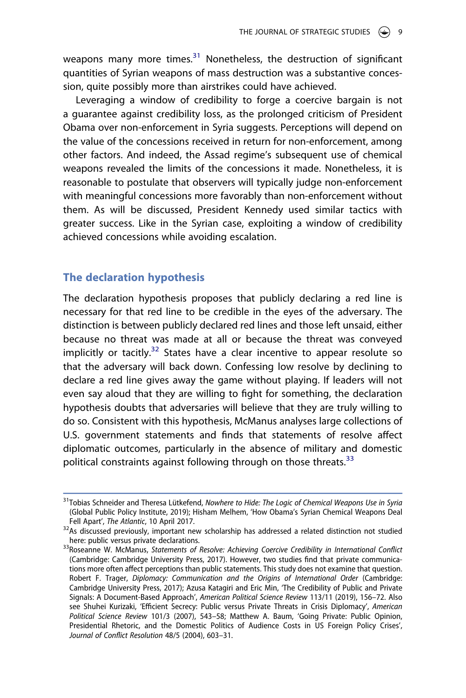weapons many more times. $31$  Nonetheless, the destruction of significant quantities of Syrian weapons of mass destruction was a substantive concession, quite possibly more than airstrikes could have achieved.

Leveraging a window of credibility to forge a coercive bargain is not a guarantee against credibility loss, as the prolonged criticism of President Obama over non-enforcement in Syria suggests. Perceptions will depend on the value of the concessions received in return for non-enforcement, among other factors. And indeed, the Assad regime's subsequent use of chemical weapons revealed the limits of the concessions it made. Nonetheless, it is reasonable to postulate that observers will typically judge non-enforcement with meaningful concessions more favorably than non-enforcement without them. As will be discussed, President Kennedy used similar tactics with greater success. Like in the Syrian case, exploiting a window of credibility achieved concessions while avoiding escalation.

# **The declaration hypothesis**

The declaration hypothesis proposes that publicly declaring a red line is necessary for that red line to be credible in the eyes of the adversary. The distinction is between publicly declared red lines and those left unsaid, either because no threat was made at all or because the threat was conveyed implicitly or tacitly.<sup>32</sup> States have a clear incentive to appear resolute so that the adversary will back down. Confessing low resolve by declining to declare a red line gives away the game without playing. If leaders will not even say aloud that they are willing to fight for something, the declaration hypothesis doubts that adversaries will believe that they are truly willing to do so. Consistent with this hypothesis, McManus analyses large collections of U.S. government statements and finds that statements of resolve affect diplomatic outcomes, particularly in the absence of military and domestic political constraints against following through on those threats.<sup>[33](#page-9-2)</sup>

<span id="page-9-0"></span><sup>31</sup>Tobias Schneider and Theresa Lütkefend, *Nowhere to Hide: The Logic of Chemical Weapons Use in Syria*  (Global Public Policy Institute, 2019); Hisham Melhem, 'How Obama's Syrian Chemical Weapons Deal<br>Fell Apart', The Atlantic, 10 April 2017.

<span id="page-9-1"></span><sup>&</sup>lt;sup>32</sup>As discussed previously, important new scholarship has addressed a related distinction not studied here: public versus private declarations.

<span id="page-9-2"></span><sup>33</sup> Roseanne W. McManus, Statements of Resolve: Achieving Coercive Credibility in International Conflict (Cambridge: Cambridge University Press, 2017). However, two studies find that private communications more often affect perceptions than public statements. This study does not examine that question. Robert F. Trager, *Diplomacy: Communication and the Origins of International Order* (Cambridge: Cambridge University Press, 2017); Azusa Katagiri and Eric Min, 'The Credibility of Public and Private Signals: A Document-Based Approach', *American Political Science Review* 113/11 (2019), 156–72. Also see Shuhei Kurizaki, 'Efficient Secrecy: Public versus Private Threats in Crisis Diplomacy', *American Political Science Review* 101/3 (2007), 543–58; Matthew A. Baum, 'Going Private: Public Opinion, Presidential Rhetoric, and the Domestic Politics of Audience Costs in US Foreign Policy Crises', *Journal of Conflict Resolution* 48/5 (2004), 603–31.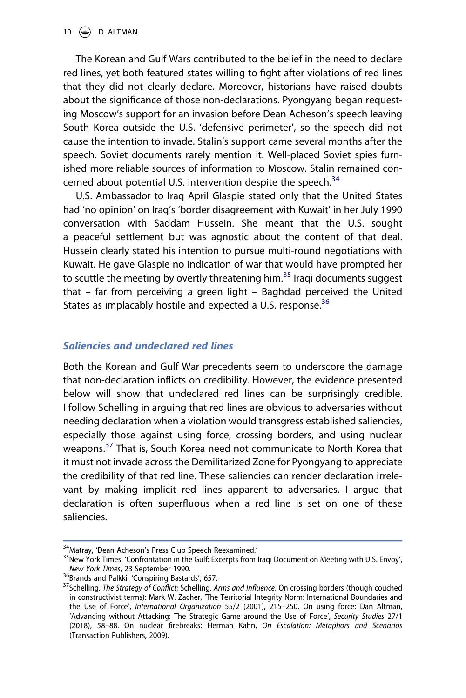The Korean and Gulf Wars contributed to the belief in the need to declare red lines, yet both featured states willing to fight after violations of red lines that they did not clearly declare. Moreover, historians have raised doubts about the significance of those non-declarations. Pyongyang began requesting Moscow's support for an invasion before Dean Acheson's speech leaving South Korea outside the U.S. 'defensive perimeter', so the speech did not cause the intention to invade. Stalin's support came several months after the speech. Soviet documents rarely mention it. Well-placed Soviet spies furnished more reliable sources of information to Moscow. Stalin remained con-cerned about potential U.S. intervention despite the speech.<sup>[34](#page-10-0)</sup>

U.S. Ambassador to Iraq April Glaspie stated only that the United States had 'no opinion' on Iraq's 'border disagreement with Kuwait' in her July 1990 conversation with Saddam Hussein. She meant that the U.S. sought a peaceful settlement but was agnostic about the content of that deal. Hussein clearly stated his intention to pursue multi-round negotiations with Kuwait. He gave Glaspie no indication of war that would have prompted her to scuttle the meeting by overtly threatening him.<sup>35</sup> Iragi documents suggest that – far from perceiving a green light – Baghdad perceived the United States as implacably hostile and expected a U.S. response.<sup>36</sup>

# *Saliencies and undeclared red lines*

Both the Korean and Gulf War precedents seem to underscore the damage that non-declaration inflicts on credibility. However, the evidence presented below will show that undeclared red lines can be surprisingly credible. I follow Schelling in arguing that red lines are obvious to adversaries without needing declaration when a violation would transgress established saliencies, especially those against using force, crossing borders, and using nuclear weapons.<sup>37</sup> That is, South Korea need not communicate to North Korea that it must not invade across the Demilitarized Zone for Pyongyang to appreciate the credibility of that red line. These saliencies can render declaration irrelevant by making implicit red lines apparent to adversaries. I argue that declaration is often superfluous when a red line is set on one of these saliencies.

<span id="page-10-1"></span>

<span id="page-10-0"></span><sup>&</sup>lt;sup>34</sup>Matray, 'Dean Acheson's Press Club Speech Reexamined.'<br><sup>35</sup>New York Times, 'Confrontation in the Gulf: Excerpts from Iraqi Document on Meeting with U.S. Envoy',<br>N*ew York Times*, 23 September 1990.

<span id="page-10-3"></span>

<span id="page-10-2"></span><sup>&</sup>lt;sup>36</sup>Brands and Palkki, 'Conspiring Bastards', 657.<br><sup>37</sup>Schelling, *The Strategy of Conflict*; Schelling, *Arms and Influence*. On crossing borders (though couched in constructivist terms): Mark W. Zacher, 'The Territorial Integrity Norm: International Boundaries and the Use of Force', *International Organization* 55/2 (2001), 215–250. On using force: Dan Altman, 'Advancing without Attacking: The Strategic Game around the Use of Force', *Security Studies* 27/1 (2018), 58–88. On nuclear firebreaks: Herman Kahn, *On Escalation: Metaphors and Scenarios*  (Transaction Publishers, 2009).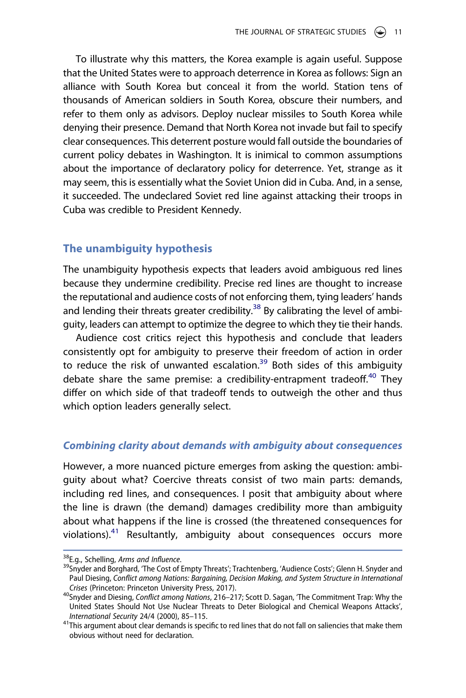To illustrate why this matters, the Korea example is again useful. Suppose that the United States were to approach deterrence in Korea as follows: Sign an alliance with South Korea but conceal it from the world. Station tens of thousands of American soldiers in South Korea, obscure their numbers, and refer to them only as advisors. Deploy nuclear missiles to South Korea while denying their presence. Demand that North Korea not invade but fail to specify clear consequences. This deterrent posture would fall outside the boundaries of current policy debates in Washington. It is inimical to common assumptions about the importance of declaratory policy for deterrence. Yet, strange as it may seem, this is essentially what the Soviet Union did in Cuba. And, in a sense, it succeeded. The undeclared Soviet red line against attacking their troops in Cuba was credible to President Kennedy.

# **The unambiguity hypothesis**

The unambiguity hypothesis expects that leaders avoid ambiguous red lines because they undermine credibility. Precise red lines are thought to increase the reputational and audience costs of not enforcing them, tying leaders' hands and lending their threats greater credibility.<sup>38</sup> By calibrating the level of ambiguity, leaders can attempt to optimize the degree to which they tie their hands.

Audience cost critics reject this hypothesis and conclude that leaders consistently opt for ambiguity to preserve their freedom of action in order to reduce the risk of unwanted escalation.<sup>[39](#page-11-1)</sup> Both sides of this ambiguity debate share the same premise: a credibility-entrapment tradeoff.<sup>[40](#page-11-2)</sup> They differ on which side of that tradeoff tends to outweigh the other and thus which option leaders generally select.

# *Combining clarity about demands with ambiguity about consequences*

However, a more nuanced picture emerges from asking the question: ambiguity about what? Coercive threats consist of two main parts: demands, including red lines, and consequences. I posit that ambiguity about where the line is drawn (the demand) damages credibility more than ambiguity about what happens if the line is crossed (the threatened consequences for violations).<sup>[41](#page-11-3)</sup> Resultantly, ambiguity about consequences occurs more

<span id="page-11-1"></span>

<span id="page-11-0"></span><sup>&</sup>lt;sup>38</sup>E.g., Schelling, *Arms and Influence*.<br><sup>39</sup>Snyder and Borghard, 'The Cost of Empty Threats'; Trachtenberg, 'Audience Costs'; Glenn H. Snyder and Paul Diesing, *Conflict among Nations: Bargaining, Decision Making, and System Structure in International* 

<span id="page-11-2"></span>*Crises* (Princeton: Princeton University Press, 2017). 40Snyder and Diesing, *Conflict among Nations*, 216–217; Scott D. Sagan, 'The Commitment Trap: Why the United States Should Not Use Nuclear Threats to Deter Biological and Chemical Weapons Attacks',

<span id="page-11-3"></span>*International Security* 24/4 (2000), 85–115. 41This argument about clear demands is specific to red lines that do not fall on saliencies that make them obvious without need for declaration.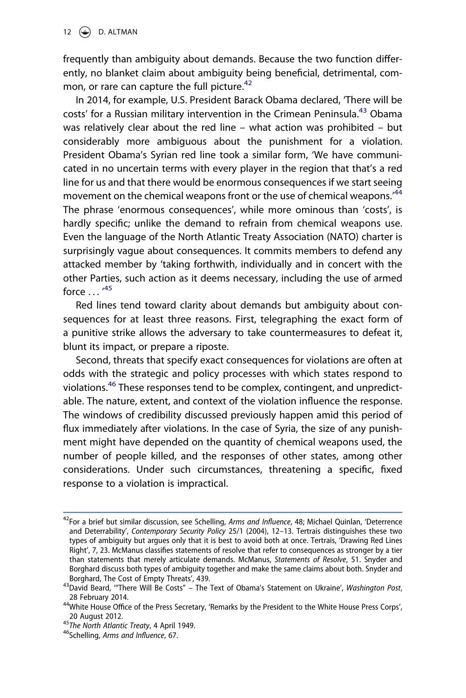frequently than ambiguity about demands. Because the two function differently, no blanket claim about ambiguity being beneficial, detrimental, common, or rare can capture the full picture. $42$ 

In 2014, for example, U.S. President Barack Obama declared, 'There will be costs' for a Russian military intervention in the Crimean Peninsula.<sup>43</sup> Obama was relatively clear about the red line – what action was prohibited – but considerably more ambiguous about the punishment for a violation. President Obama's Syrian red line took a similar form, 'We have communicated in no uncertain terms with every player in the region that that's a red line for us and that there would be enormous consequences if we start seeing movement on the chemical weapons front or the use of chemical weapons.<sup>[44](#page-12-2)</sup> The phrase 'enormous consequences', while more ominous than 'costs', is hardly specific; unlike the demand to refrain from chemical weapons use. Even the language of the North Atlantic Treaty Association (NATO) charter is surprisingly vague about consequences. It commits members to defend any attacked member by 'taking forthwith, individually and in concert with the other Parties, such action as it deems necessary, including the use of armed force  $\dots$   $^{45}$  $^{45}$  $^{45}$ 

Red lines tend toward clarity about demands but ambiguity about consequences for at least three reasons. First, telegraphing the exact form of a punitive strike allows the adversary to take countermeasures to defeat it, blunt its impact, or prepare a riposte.

Second, threats that specify exact consequences for violations are often at odds with the strategic and policy processes with which states respond to violations.[46](#page-12-4) These responses tend to be complex, contingent, and unpredictable. The nature, extent, and context of the violation influence the response. The windows of credibility discussed previously happen amid this period of flux immediately after violations. In the case of Syria, the size of any punishment might have depended on the quantity of chemical weapons used, the number of people killed, and the responses of other states, among other considerations. Under such circumstances, threatening a specific, fixed response to a violation is impractical.

<span id="page-12-0"></span><sup>42</sup>For a brief but similar discussion, see Schelling, *Arms and Influence*, 48; Michael Quinlan, 'Deterrence and Deterrability', *Contemporary Security Policy* 25/1 (2004), 12–13. Tertrais distinguishes these two types of ambiguity but argues only that it is best to avoid both at once. Tertrais, 'Drawing Red Lines Right', 7, 23. McManus classifies statements of resolve that refer to consequences as stronger by a tier than statements that merely articulate demands. McManus, *Statements of Resolve*, 51. Snyder and Borghard discuss both types of ambiguity together and make the same claims about both. Snyder and Borghard, The Cost of Empty Threats', 439. 43David Beard, '"There Will Be Costs" – The Text of Obama's Statement on Ukraine', *Washington Post*,

<span id="page-12-1"></span>

<span id="page-12-2"></span><sup>28</sup> February 2014.<br><sup>44</sup>White House Office of the Press Secretary, 'Remarks by the President to the White House Press Corps',

<span id="page-12-3"></span><sup>20</sup> August 2012. <sup>45</sup>*The North Atlantic Treaty*, 4 April 1949. 46Schelling, *Arms and Influence*, 67.

<span id="page-12-4"></span>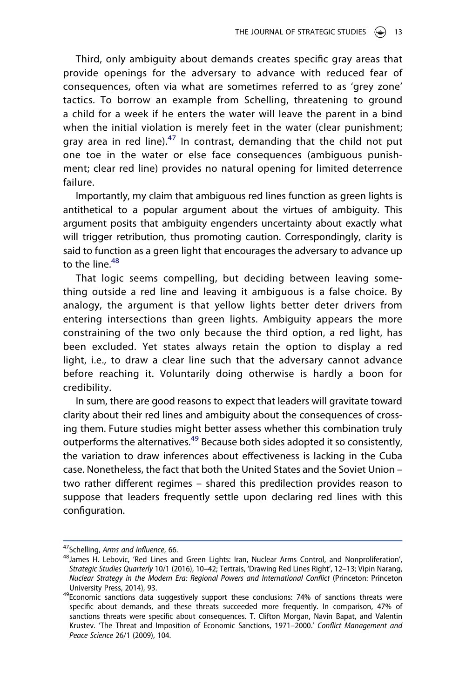Third, only ambiguity about demands creates specific gray areas that provide openings for the adversary to advance with reduced fear of consequences, often via what are sometimes referred to as 'grey zone' tactics. To borrow an example from Schelling, threatening to ground a child for a week if he enters the water will leave the parent in a bind when the initial violation is merely feet in the water (clear punishment; gray area in red line). $47$  In contrast, demanding that the child not put one toe in the water or else face consequences (ambiguous punishment; clear red line) provides no natural opening for limited deterrence failure.

Importantly, my claim that ambiguous red lines function as green lights is antithetical to a popular argument about the virtues of ambiguity. This argument posits that ambiguity engenders uncertainty about exactly what will trigger retribution, thus promoting caution. Correspondingly, clarity is said to function as a green light that encourages the adversary to advance up to the line. $48$ 

That logic seems compelling, but deciding between leaving something outside a red line and leaving it ambiguous is a false choice. By analogy, the argument is that yellow lights better deter drivers from entering intersections than green lights. Ambiguity appears the more constraining of the two only because the third option, a red light, has been excluded. Yet states always retain the option to display a red light, i.e., to draw a clear line such that the adversary cannot advance before reaching it. Voluntarily doing otherwise is hardly a boon for credibility.

In sum, there are good reasons to expect that leaders will gravitate toward clarity about their red lines and ambiguity about the consequences of crossing them. Future studies might better assess whether this combination truly outperforms the alternatives.<sup>49</sup> Because both sides adopted it so consistently, the variation to draw inferences about effectiveness is lacking in the Cuba case. Nonetheless, the fact that both the United States and the Soviet Union – two rather different regimes – shared this predilection provides reason to suppose that leaders frequently settle upon declaring red lines with this configuration.

<span id="page-13-1"></span>

<span id="page-13-0"></span><sup>&</sup>lt;sup>47</sup>Schelling, *Arms and Influence*, 66.<br><sup>48</sup>James H. Lebovic, 'Red Lines and Green Lights: Iran, Nuclear Arms Control, and Nonproliferation', *Strategic Studies Quarterly* 10/1 (2016), 10–42; Tertrais, 'Drawing Red Lines Right', 12–13; Vipin Narang, *Nuclear Strategy in the Modern Era: Regional Powers and International Conflict* (Princeton: Princeton

<span id="page-13-2"></span>University Press, 2014), 93.<br><sup>49</sup>Economic sanctions data suggestively support these conclusions: 74% of sanctions threats were specific about demands, and these threats succeeded more frequently. In comparison, 47% of sanctions threats were specific about consequences. T. Clifton Morgan, Navin Bapat, and Valentin Krustev. 'The Threat and Imposition of Economic Sanctions, 1971–2000.' *Conflict Management and Peace Science* 26/1 (2009), 104.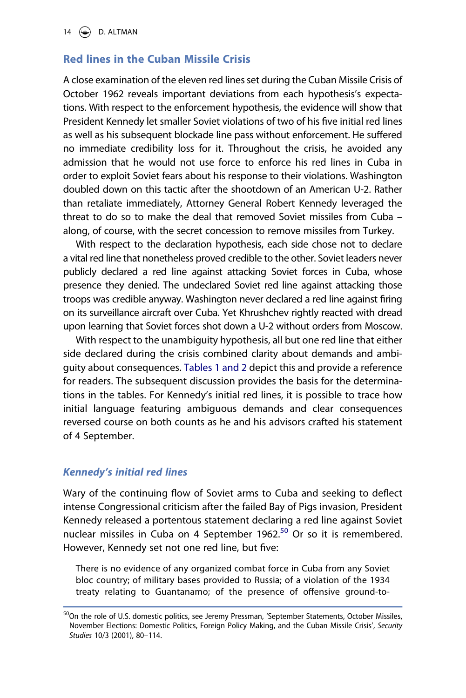# **Red lines in the Cuban Missile Crisis**

A close examination of the eleven red lines set during the Cuban Missile Crisis of October 1962 reveals important deviations from each hypothesis's expectations. With respect to the enforcement hypothesis, the evidence will show that President Kennedy let smaller Soviet violations of two of his five initial red lines as well as his subsequent blockade line pass without enforcement. He suffered no immediate credibility loss for it. Throughout the crisis, he avoided any admission that he would not use force to enforce his red lines in Cuba in order to exploit Soviet fears about his response to their violations. Washington doubled down on this tactic after the shootdown of an American U-2. Rather than retaliate immediately, Attorney General Robert Kennedy leveraged the threat to do so to make the deal that removed Soviet missiles from Cuba – along, of course, with the secret concession to remove missiles from Turkey.

With respect to the declaration hypothesis, each side chose not to declare a vital red line that nonetheless proved credible to the other. Soviet leaders never publicly declared a red line against attacking Soviet forces in Cuba, whose presence they denied. The undeclared Soviet red line against attacking those troops was credible anyway. Washington never declared a red line against firing on its surveillance aircraft over Cuba. Yet Khrushchev rightly reacted with dread upon learning that Soviet forces shot down a U-2 without orders from Moscow.

With respect to the unambiguity hypothesis, all but one red line that either side declared during the crisis combined clarity about demands and ambiguity about consequences. [Tables 1 and 2](#page-15-0) depict this and provide a reference for readers. The subsequent discussion provides the basis for the determinations in the tables. For Kennedy's initial red lines, it is possible to trace how initial language featuring ambiguous demands and clear consequences reversed course on both counts as he and his advisors crafted his statement of 4 September.

#### *Kennedy's initial red lines*

Wary of the continuing flow of Soviet arms to Cuba and seeking to deflect intense Congressional criticism after the failed Bay of Pigs invasion, President Kennedy released a portentous statement declaring a red line against Soviet nuclear missiles in Cuba on 4 September 1962.<sup>50</sup> Or so it is remembered. However, Kennedy set not one red line, but five:

There is no evidence of any organized combat force in Cuba from any Soviet bloc country; of military bases provided to Russia; of a violation of the 1934 treaty relating to Guantanamo; of the presence of offensive ground-to-

<span id="page-14-0"></span><sup>&</sup>lt;sup>50</sup>On the role of U.S. domestic politics, see Jeremy Pressman, 'September Statements, October Missiles, November Elections: Domestic Politics, Foreign Policy Making, and the Cuban Missile Crisis', *Security Studies* 10/3 (2001), 80–114.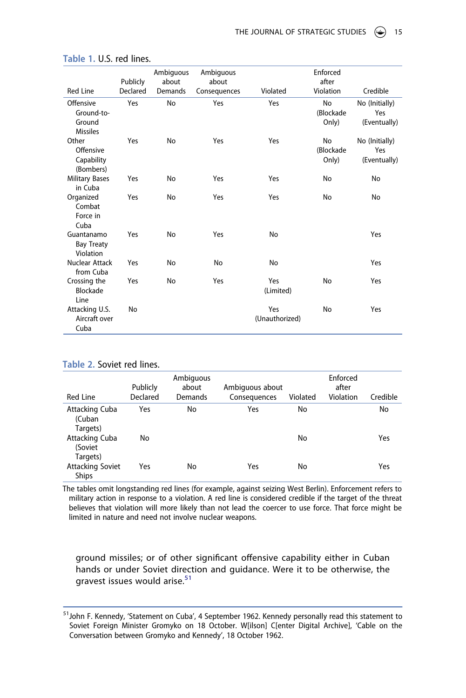| <b>Red Line</b>                                      | Publicly<br>Declared | Ambiguous<br>about | Ambiguous<br>about | Violated              | Enforced<br>after<br>Violation  | Credible                              |
|------------------------------------------------------|----------------------|--------------------|--------------------|-----------------------|---------------------------------|---------------------------------------|
|                                                      |                      | Demands            | Consequences       |                       |                                 |                                       |
| Offensive<br>Ground-to-<br>Ground<br><b>Missiles</b> | Yes                  | No                 | Yes                | Yes                   | <b>No</b><br>(Blockade<br>Only) | No (Initially)<br>Yes<br>(Eventually) |
| Other<br>Offensive<br>Capability<br>(Bombers)        | Yes                  | No                 | Yes                | Yes                   | No<br>(Blockade<br>Only)        | No (Initially)<br>Yes<br>(Eventually) |
| <b>Military Bases</b><br>in Cuba                     | Yes                  | No                 | Yes                | Yes                   | No                              | No                                    |
| Organized<br>Combat<br>Force in<br>Cuba              | Yes                  | No                 | Yes                | Yes                   | No                              | No                                    |
| Guantanamo<br><b>Bay Treaty</b><br>Violation         | Yes                  | No                 | Yes                | No                    |                                 | Yes                                   |
| Nuclear Attack<br>from Cuba                          | Yes                  | No                 | No                 | No                    |                                 | Yes                                   |
| Crossing the<br>Blockade<br>Line                     | Yes                  | No                 | Yes                | Yes<br>(Limited)      | No                              | Yes                                   |
| Attacking U.S.<br>Aircraft over<br>Cuba              | No                   |                    |                    | Yes<br>(Unauthorized) | No                              | Yes                                   |

#### <span id="page-15-0"></span>Table 1. U.S. red lines.

#### **Table 2.** Soviet red lines.

| <b>Red Line</b>                         | Publicly<br>Declared | Ambiguous<br>about<br>Demands | Ambiguous about<br>Consequences | Violated | Enforced<br>after<br>Violation | Credible |
|-----------------------------------------|----------------------|-------------------------------|---------------------------------|----------|--------------------------------|----------|
| Attacking Cuba<br>(Cuban<br>Targets)    | Yes                  | No                            | Yes                             | No       |                                | No       |
| Attacking Cuba<br>(Soviet<br>Targets)   | No                   |                               |                                 | No       |                                | Yes      |
| <b>Attacking Soviet</b><br><b>Ships</b> | Yes                  | No                            | Yes                             | No       |                                | Yes      |

The tables omit longstanding red lines (for example, against seizing West Berlin). Enforcement refers to military action in response to a violation. A red line is considered credible if the target of the threat believes that violation will more likely than not lead the coercer to use force. That force might be limited in nature and need not involve nuclear weapons.

ground missiles; or of other significant offensive capability either in Cuban hands or under Soviet direction and guidance. Were it to be otherwise, the gravest issues would arise.<sup>[51](#page-15-1)</sup>

<span id="page-15-1"></span><sup>&</sup>lt;sup>51</sup>John F. Kennedy, 'Statement on Cuba', 4 September 1962. Kennedy personally read this statement to Soviet Foreign Minister Gromyko on 18 October. W[ilson] C[enter Digital Archive], 'Cable on the Conversation between Gromyko and Kennedy', 18 October 1962.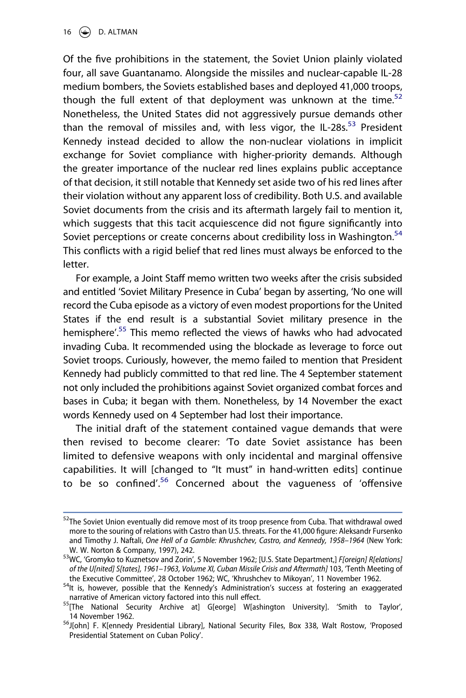16  $\bigodot$  D. ALTMAN

Of the five prohibitions in the statement, the Soviet Union plainly violated four, all save Guantanamo. Alongside the missiles and nuclear-capable IL-28 medium bombers, the Soviets established bases and deployed 41,000 troops, though the full extent of that deployment was unknown at the time. $52$ Nonetheless, the United States did not aggressively pursue demands other than the removal of missiles and, with less vigor, the IL-28s.<sup>[53](#page-16-1)</sup> President Kennedy instead decided to allow the non-nuclear violations in implicit exchange for Soviet compliance with higher-priority demands. Although the greater importance of the nuclear red lines explains public acceptance of that decision, it still notable that Kennedy set aside two of his red lines after their violation without any apparent loss of credibility. Both U.S. and available Soviet documents from the crisis and its aftermath largely fail to mention it, which suggests that this tacit acquiescence did not figure significantly into Soviet perceptions or create concerns about credibility loss in Washington.<sup>[54](#page-16-2)</sup> This conflicts with a rigid belief that red lines must always be enforced to the letter.

For example, a Joint Staff memo written two weeks after the crisis subsided and entitled 'Soviet Military Presence in Cuba' began by asserting, 'No one will record the Cuba episode as a victory of even modest proportions for the United States if the end result is a substantial Soviet military presence in the hemisphere<sup>'.[55](#page-16-3)</sup> This memo reflected the views of hawks who had advocated invading Cuba. It recommended using the blockade as leverage to force out Soviet troops. Curiously, however, the memo failed to mention that President Kennedy had publicly committed to that red line. The 4 September statement not only included the prohibitions against Soviet organized combat forces and bases in Cuba; it began with them. Nonetheless, by 14 November the exact words Kennedy used on 4 September had lost their importance.

The initial draft of the statement contained vague demands that were then revised to become clearer: 'To date Soviet assistance has been limited to defensive weapons with only incidental and marginal offensive capabilities. It will [changed to "It must" in hand-written edits] continue to be so confined<sup>'.[56](#page-16-4)</sup> Concerned about the vagueness of 'offensive

<span id="page-16-0"></span><sup>&</sup>lt;sup>52</sup>The Soviet Union eventually did remove most of its troop presence from Cuba. That withdrawal owed more to the souring of relations with Castro than U.S. threats. For the 41,000 figure: Aleksandr Fursenko and Timothy J. Naftali, *One Hell of a Gamble: Khrushchev, Castro, and Kennedy, 1958–1964* (New York: W. W. Norton & Company, 1997), 242.<br><sup>53</sup>WC, 'Gromyko to Kuznetsov and Zorin', 5 November 1962; [U.S. State Department,] *F[oreign] R[elations]* 

<span id="page-16-1"></span>of the U[nited] S[tates], 1961–1963, Volume XI, Cuban Missile Crisis and Aftermath] 103, 'Tenth Meeting of the Executive Committee', 28 October 1962; WC, 'Khrushchev to Mikoyan', 11 November 1962.

<span id="page-16-2"></span> $54$ It is, however, possible that the Kennedy's Administration's success at fostering an exaggerated narrative of American victory factored into this null effect.

<span id="page-16-3"></span> $^{55}$ [The National Security Archive at] G[eorge] W[ashington University]. 'Smith to Taylor',

<span id="page-16-4"></span><sup>14</sup> November 1962.<br><sup>56</sup>J[ohn] F. K[ennedy Presidential Library], National Security Files, Box 338, Walt Rostow, 'Proposed Presidential Statement on Cuban Policy'.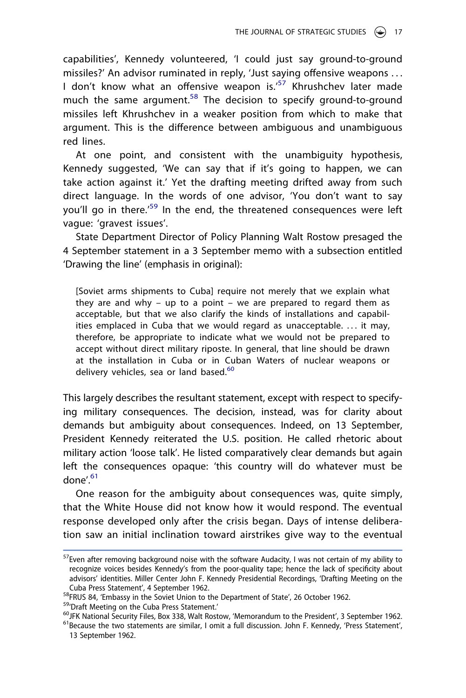capabilities', Kennedy volunteered, 'I could just say ground-to-ground missiles?' An advisor ruminated in reply, 'Just saying offensive weapons . . . I don't know what an offensive weapon is.<sup>'57</sup> Khrushchev later made much the same argument.<sup>[58](#page-17-1)</sup> The decision to specify ground-to-ground missiles left Khrushchev in a weaker position from which to make that argument. This is the difference between ambiguous and unambiguous red lines.

At one point, and consistent with the unambiguity hypothesis, Kennedy suggested, 'We can say that if it's going to happen, we can take action against it.' Yet the drafting meeting drifted away from such direct language. In the words of one advisor, 'You don't want to say you'll go in there.<sup>'[59](#page-17-2)</sup> In the end, the threatened consequences were left vague: 'gravest issues'.

State Department Director of Policy Planning Walt Rostow presaged the 4 September statement in a 3 September memo with a subsection entitled 'Drawing the line' (emphasis in original):

[Soviet arms shipments to Cuba] require not merely that we explain what they are and why – up to a point – we are prepared to regard them as acceptable, but that we also clarify the kinds of installations and capabilities emplaced in Cuba that we would regard as unacceptable. ... it may, therefore, be appropriate to indicate what we would not be prepared to accept without direct military riposte. In general, that line should be drawn at the installation in Cuba or in Cuban Waters of nuclear weapons or delivery vehicles, sea or land based.<sup>[60](#page-17-3)</sup>

This largely describes the resultant statement, except with respect to specifying military consequences. The decision, instead, was for clarity about demands but ambiguity about consequences. Indeed, on 13 September, President Kennedy reiterated the U.S. position. He called rhetoric about military action 'loose talk'. He listed comparatively clear demands but again left the consequences opaque: 'this country will do whatever must be done'.[61](#page-17-4)

One reason for the ambiguity about consequences was, quite simply, that the White House did not know how it would respond. The eventual response developed only after the crisis began. Days of intense deliberation saw an initial inclination toward airstrikes give way to the eventual

<span id="page-17-0"></span><sup>&</sup>lt;sup>57</sup>Even after removing background noise with the software Audacity, I was not certain of my ability to recognize voices besides Kennedy's from the poor-quality tape; hence the lack of specificity about advisors' identities. Miller Center John F. Kennedy Presidential Recordings, 'Drafting Meeting on the

<span id="page-17-1"></span>

<span id="page-17-2"></span>

<span id="page-17-4"></span><span id="page-17-3"></span>

Cuba Press Statement', 4 September 1962.<br><sup>58</sup>FRUS 84, 'Embassy in the Soviet Union to the Department of State', 26 October 1962.<br><sup>59</sup>'Draft Meeting on the Cuba Press Statement.'<br><sup>60</sup>JFK National Security Files, Box 338, W 13 September 1962.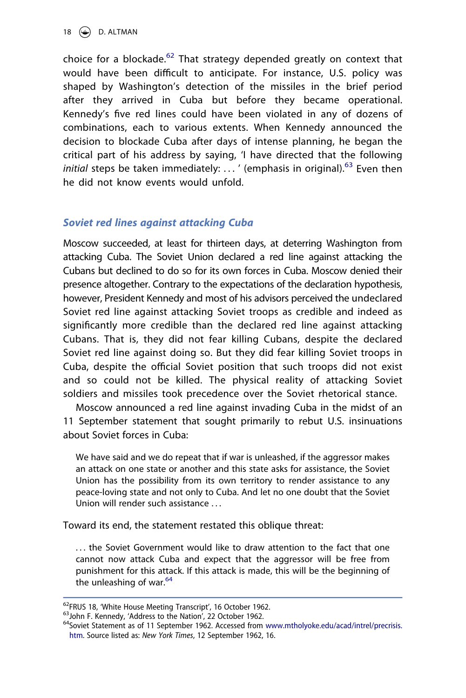18  $\bigodot$  D. ALTMAN

choice for a blockade. $62$  That strategy depended greatly on context that would have been difficult to anticipate. For instance, U.S. policy was shaped by Washington's detection of the missiles in the brief period after they arrived in Cuba but before they became operational. Kennedy's five red lines could have been violated in any of dozens of combinations, each to various extents. When Kennedy announced the decision to blockade Cuba after days of intense planning, he began the critical part of his address by saying, 'I have directed that the following initial steps be taken immediately: ... ' (emphasis in original).<sup>[63](#page-18-1)</sup> Even then he did not know events would unfold.

# *Soviet red lines against attacking Cuba*

Moscow succeeded, at least for thirteen days, at deterring Washington from attacking Cuba. The Soviet Union declared a red line against attacking the Cubans but declined to do so for its own forces in Cuba. Moscow denied their presence altogether. Contrary to the expectations of the declaration hypothesis, however, President Kennedy and most of his advisors perceived the undeclared Soviet red line against attacking Soviet troops as credible and indeed as significantly more credible than the declared red line against attacking Cubans. That is, they did not fear killing Cubans, despite the declared Soviet red line against doing so. But they did fear killing Soviet troops in Cuba, despite the official Soviet position that such troops did not exist and so could not be killed. The physical reality of attacking Soviet soldiers and missiles took precedence over the Soviet rhetorical stance.

Moscow announced a red line against invading Cuba in the midst of an 11 September statement that sought primarily to rebut U.S. insinuations about Soviet forces in Cuba:

We have said and we do repeat that if war is unleashed, if the aggressor makes an attack on one state or another and this state asks for assistance, the Soviet Union has the possibility from its own territory to render assistance to any peace-loving state and not only to Cuba. And let no one doubt that the Soviet Union will render such assistance

Toward its end, the statement restated this oblique threat:

... the Soviet Government would like to draw attention to the fact that one cannot now attack Cuba and expect that the aggressor will be free from punishment for this attack. If this attack is made, this will be the beginning of the unleashing of war. $64$ 

<span id="page-18-2"></span><span id="page-18-1"></span>

<span id="page-18-0"></span><sup>&</sup>lt;sup>62</sup>FRUS 18, 'White House Meeting Transcript', 16 October 1962.<br><sup>63</sup>John F. Kennedy, 'Address to the Nation', 22 October 1962.<br><sup>64</sup>Soviet Statement as of 11 September 1962. Accessed from www.mtholyoke.edu/acad/intrel/precr [htm.](http://www.mtholyoke.edu/acad/intrel/precrisis.htm) Source listed as: *New York Times*, 12 September 1962, 16.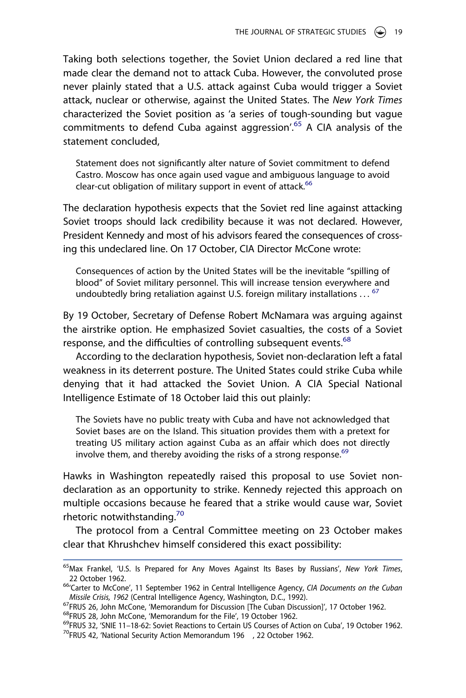Taking both selections together, the Soviet Union declared a red line that made clear the demand not to attack Cuba. However, the convoluted prose never plainly stated that a U.S. attack against Cuba would trigger a Soviet attack, nuclear or otherwise, against the United States. The *New York Times*  characterized the Soviet position as 'a series of tough-sounding but vague commitments to defend Cuba against aggression'.[65](#page-19-0) A CIA analysis of the statement concluded,

Statement does not significantly alter nature of Soviet commitment to defend Castro. Moscow has once again used vague and ambiguous language to avoid clear-cut obligation of military support in event of attack.<sup>[66](#page-19-1)</sup>

The declaration hypothesis expects that the Soviet red line against attacking Soviet troops should lack credibility because it was not declared. However, President Kennedy and most of his advisors feared the consequences of crossing this undeclared line. On 17 October, CIA Director McCone wrote:

Consequences of action by the United States will be the inevitable "spilling of blood" of Soviet military personnel. This will increase tension everywhere and undoubtedly bring retaliation against U.S. foreign military installations  $\ldots$ <sup>[67](#page-19-2)</sup>

By 19 October, Secretary of Defense Robert McNamara was arguing against the airstrike option. He emphasized Soviet casualties, the costs of a Soviet response, and the difficulties of controlling subsequent events.<sup>[68](#page-19-3)</sup>

According to the declaration hypothesis, Soviet non-declaration left a fatal weakness in its deterrent posture. The United States could strike Cuba while denying that it had attacked the Soviet Union. A CIA Special National Intelligence Estimate of 18 October laid this out plainly:

The Soviets have no public treaty with Cuba and have not acknowledged that Soviet bases are on the Island. This situation provides them with a pretext for treating US military action against Cuba as an affair which does not directly involve them, and thereby avoiding the risks of a strong response. $69$ 

Hawks in Washington repeatedly raised this proposal to use Soviet nondeclaration as an opportunity to strike. Kennedy rejected this approach on multiple occasions because he feared that a strike would cause war, Soviet rhetoric notwithstanding.<sup>70</sup>

The protocol from a Central Committee meeting on 23 October makes clear that Khrushchev himself considered this exact possibility:

<span id="page-19-0"></span><sup>65</sup>Max Frankel, 'U.S. Is Prepared for Any Moves Against Its Bases by Russians', *New York Times*,

<span id="page-19-1"></span><sup>22</sup> October 1962. 66'Carter to McCone', 11 September 1962 in Central Intelligence Agency, *CIA Documents on the Cuban* 

<span id="page-19-5"></span><span id="page-19-4"></span><span id="page-19-3"></span>

<span id="page-19-2"></span><sup>&</sup>lt;sup>67</sup>FRUS 26, John McCone, 'Memorandum for Discussion [The Cuban Discussion]', 17 October 1962.<br><sup>68</sup>FRUS 28, John McCone, 'Memorandum for the File', 19 October 1962.<br><sup>69</sup>FRUS 32, 'SNIE 11–18-62: Soviet Reactions to Certain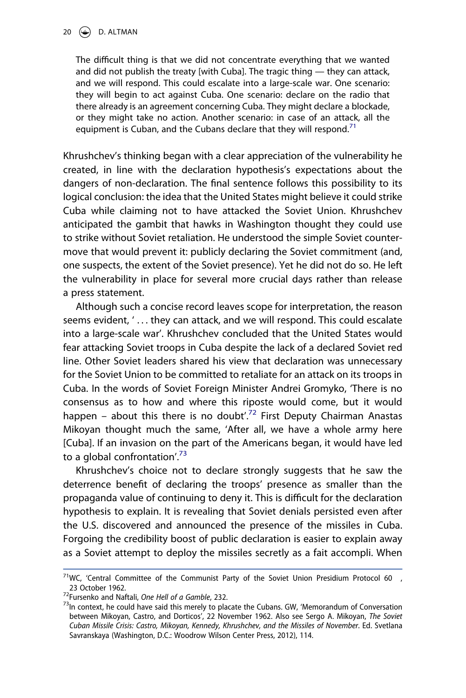The difficult thing is that we did not concentrate everything that we wanted and did not publish the treaty [with Cuba]. The tragic thing — they can attack, and we will respond. This could escalate into a large-scale war. One scenario: they will begin to act against Cuba. One scenario: declare on the radio that there already is an agreement concerning Cuba. They might declare a blockade, or they might take no action. Another scenario: in case of an attack, all the equipment is Cuban, and the Cubans declare that they will respond.<sup>[71](#page-20-0)</sup>

Khrushchev's thinking began with a clear appreciation of the vulnerability he created, in line with the declaration hypothesis's expectations about the dangers of non-declaration. The final sentence follows this possibility to its logical conclusion: the idea that the United States might believe it could strike Cuba while claiming not to have attacked the Soviet Union. Khrushchev anticipated the gambit that hawks in Washington thought they could use to strike without Soviet retaliation. He understood the simple Soviet countermove that would prevent it: publicly declaring the Soviet commitment (and, one suspects, the extent of the Soviet presence). Yet he did not do so. He left the vulnerability in place for several more crucial days rather than release a press statement.

Although such a concise record leaves scope for interpretation, the reason seems evident, ' . . . they can attack, and we will respond. This could escalate into a large-scale war'. Khrushchev concluded that the United States would fear attacking Soviet troops in Cuba despite the lack of a declared Soviet red line. Other Soviet leaders shared his view that declaration was unnecessary for the Soviet Union to be committed to retaliate for an attack on its troops in Cuba. In the words of Soviet Foreign Minister Andrei Gromyko, 'There is no consensus as to how and where this riposte would come, but it would happen – about this there is no doubt'.<sup>72</sup> First Deputy Chairman Anastas Mikoyan thought much the same, 'After all, we have a whole army here [Cuba]. If an invasion on the part of the Americans began, it would have led to a global confrontation'.<sup>73</sup>

Khrushchev's choice not to declare strongly suggests that he saw the deterrence benefit of declaring the troops' presence as smaller than the propaganda value of continuing to deny it. This is difficult for the declaration hypothesis to explain. It is revealing that Soviet denials persisted even after the U.S. discovered and announced the presence of the missiles in Cuba. Forgoing the credibility boost of public declaration is easier to explain away as a Soviet attempt to deploy the missiles secretly as a fait accompli. When

<span id="page-20-0"></span> $71$ WC, 'Central Committee of the Communist Party of the Soviet Union Presidium Protocol 60, 23 October 1962.<br><sup>72</sup>Fursenko and Naftali, *One Hell of a Gamble*, 232.<br><sup>73</sup>In context, he could have said this merely to placate the Cubans. GW, 'Memorandum of Conversation

<span id="page-20-1"></span>

<span id="page-20-2"></span>between Mikoyan, Castro, and Dorticos', 22 November 1962. Also see Sergo A. Mikoyan, *The Soviet Cuban Missile Crisis: Castro, Mikoyan, Kennedy, Khrushchev, and the Missiles of November*. Ed. Svetlana Savranskaya (Washington, D.C.: Woodrow Wilson Center Press, 2012), 114.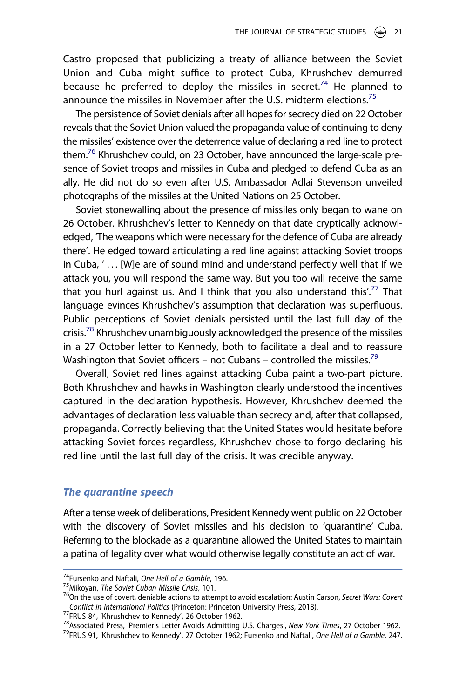Castro proposed that publicizing a treaty of alliance between the Soviet Union and Cuba might suffice to protect Cuba, Khrushchev demurred because he preferred to deploy the missiles in secret.<sup>74</sup> He planned to announce the missiles in November after the U.S. midterm elections.<sup>[75](#page-21-1)</sup>

The persistence of Soviet denials after all hopes for secrecy died on 22 October reveals that the Soviet Union valued the propaganda value of continuing to deny the missiles' existence over the deterrence value of declaring a red line to protect them.<sup>76</sup> Khrushchev could, on 23 October, have announced the large-scale presence of Soviet troops and missiles in Cuba and pledged to defend Cuba as an ally. He did not do so even after U.S. Ambassador Adlai Stevenson unveiled photographs of the missiles at the United Nations on 25 October.

Soviet stonewalling about the presence of missiles only began to wane on 26 October. Khrushchev's letter to Kennedy on that date cryptically acknowledged, 'The weapons which were necessary for the defence of Cuba are already there'. He edged toward articulating a red line against attacking Soviet troops in Cuba, ' . . . [W]e are of sound mind and understand perfectly well that if we attack you, you will respond the same way. But you too will receive the same that you hurl against us. And I think that you also understand this'.<sup>77</sup> That language evinces Khrushchev's assumption that declaration was superfluous. Public perceptions of Soviet denials persisted until the last full day of the crisis.<sup>[78](#page-21-4)</sup> Khrushchev unambiguously acknowledged the presence of the missiles in a 27 October letter to Kennedy, both to facilitate a deal and to reassure Washington that Soviet officers – not Cubans – controlled the missiles.<sup>[79](#page-21-5)</sup>

Overall, Soviet red lines against attacking Cuba paint a two-part picture. Both Khrushchev and hawks in Washington clearly understood the incentives captured in the declaration hypothesis. However, Khrushchev deemed the advantages of declaration less valuable than secrecy and, after that collapsed, propaganda. Correctly believing that the United States would hesitate before attacking Soviet forces regardless, Khrushchev chose to forgo declaring his red line until the last full day of the crisis. It was credible anyway.

#### *The quarantine speech*

After a tense week of deliberations, President Kennedy went public on 22 October with the discovery of Soviet missiles and his decision to 'quarantine' Cuba. Referring to the blockade as a quarantine allowed the United States to maintain a patina of legality over what would otherwise legally constitute an act of war.

<span id="page-21-2"></span><span id="page-21-1"></span>

<span id="page-21-0"></span><sup>&</sup>lt;sup>74</sup>Fursenko and Naftali, *One Hell of a Gamble*, 196.<br><sup>75</sup>Mikoyan, *The Soviet Cuban Missile Crisis*, 101.<br><sup>76</sup>On the use of covert, deniable actions to attempt to avoid escalation: Austin Carson, *Secret Wars: Covert*<br>Co

<span id="page-21-4"></span>

<span id="page-21-3"></span><sup>&</sup>lt;sup>77</sup>FRUS 84, 'Khrushchev to Kennedy', 26 October 1962.<br><sup>78</sup>Associated Press, 'Premier's Letter Avoids Admitting U.S. Charges', New York Times, 27 October 1962.<br><sup>79</sup>FRUS 91, 'Khrushchev to Kennedy', 27 October 1962; Fursenk

<span id="page-21-5"></span>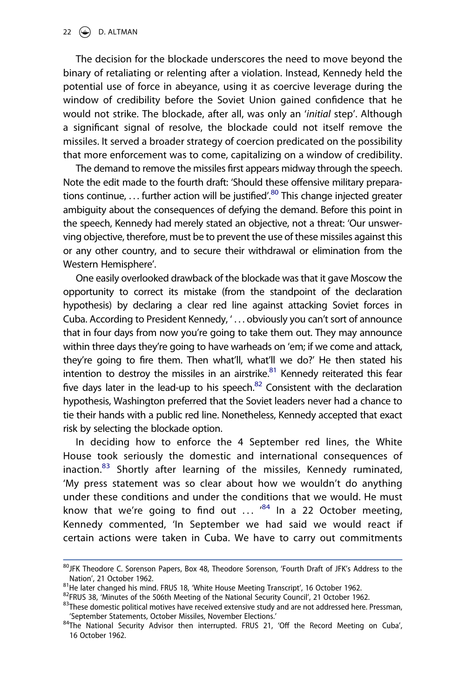The decision for the blockade underscores the need to move beyond the binary of retaliating or relenting after a violation. Instead, Kennedy held the potential use of force in abeyance, using it as coercive leverage during the window of credibility before the Soviet Union gained confidence that he would not strike. The blockade, after all, was only an '*initial* step'. Although a significant signal of resolve, the blockade could not itself remove the missiles. It served a broader strategy of coercion predicated on the possibility that more enforcement was to come, capitalizing on a window of credibility.

The demand to remove the missiles first appears midway through the speech. Note the edit made to the fourth draft: 'Should these offensive military preparations continue, ... further action will be justified<sup>', 80</sup> This change injected greater ambiguity about the consequences of defying the demand. Before this point in the speech, Kennedy had merely stated an objective, not a threat: 'Our unswerving objective, therefore, must be to prevent the use of these missiles against this or any other country, and to secure their withdrawal or elimination from the Western Hemisphere'.

One easily overlooked drawback of the blockade was that it gave Moscow the opportunity to correct its mistake (from the standpoint of the declaration hypothesis) by declaring a clear red line against attacking Soviet forces in Cuba. According to President Kennedy, ' . . . obviously you can't sort of announce that in four days from now you're going to take them out. They may announce within three days they're going to have warheads on 'em; if we come and attack, they're going to fire them. Then what'll, what'll we do?' He then stated his intention to destroy the missiles in an airstrike. $81$  Kennedy reiterated this fear five days later in the lead-up to his speech. $82$  Consistent with the declaration hypothesis, Washington preferred that the Soviet leaders never had a chance to tie their hands with a public red line. Nonetheless, Kennedy accepted that exact risk by selecting the blockade option.

In deciding how to enforce the 4 September red lines, the White House took seriously the domestic and international consequences of inaction.<sup>83</sup> Shortly after learning of the missiles, Kennedy ruminated, 'My press statement was so clear about how we wouldn't do anything under these conditions and under the conditions that we would. He must know that we're going to find out  $\ldots$   $^{84}$  ln a 22 October meeting, Kennedy commented, 'In September we had said we would react if certain actions were taken in Cuba. We have to carry out commitments

<span id="page-22-0"></span><sup>80</sup> JFK Theodore C. Sorenson Papers, Box 48, Theodore Sorenson, 'Fourth Draft of JFK's Address to the Nation', 21 October 1962.<br><sup>81</sup>He later changed his mind. FRUS 18, 'White House Meeting Transcript', 16 October 1962.<br><sup>82</sup>FRUS 38, 'Minutes of the 506th Meeting of the National Security Council', 21 October 1962.<br><sup>83</sup>These

<span id="page-22-1"></span>

<span id="page-22-2"></span>

<span id="page-22-3"></span><sup>&#</sup>x27;September Statements, October Missiles, November Elections.' 84The National Security Advisor then interrupted. FRUS 21, 'Off the Record Meeting on Cuba',

<span id="page-22-4"></span><sup>16</sup> October 1962.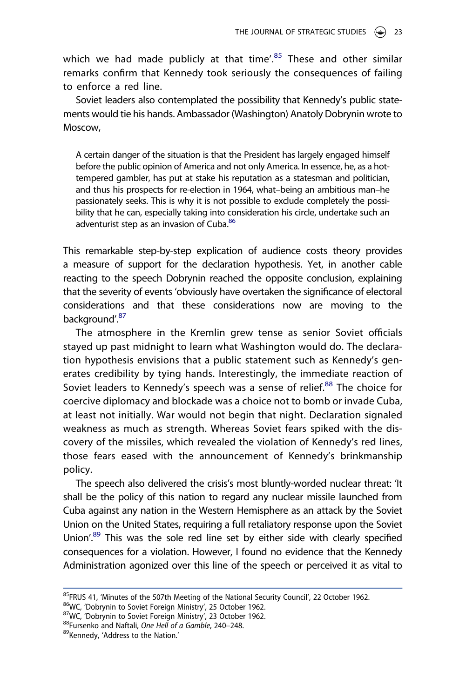which we had made publicly at that time<sup> $25$ </sup> These and other similar remarks confirm that Kennedy took seriously the consequences of failing to enforce a red line.

Soviet leaders also contemplated the possibility that Kennedy's public statements would tie his hands. Ambassador (Washington) Anatoly Dobrynin wrote to Moscow,

A certain danger of the situation is that the President has largely engaged himself before the public opinion of America and not only America. In essence, he, as a hottempered gambler, has put at stake his reputation as a statesman and politician, and thus his prospects for re-election in 1964, what–being an ambitious man–he passionately seeks. This is why it is not possible to exclude completely the possibility that he can, especially taking into consideration his circle, undertake such an adventurist step as an invasion of Cuba.<sup>86</sup>

This remarkable step-by-step explication of audience costs theory provides a measure of support for the declaration hypothesis. Yet, in another cable reacting to the speech Dobrynin reached the opposite conclusion, explaining that the severity of events 'obviously have overtaken the significance of electoral considerations and that these considerations now are moving to the background'.<sup>87</sup>

The atmosphere in the Kremlin grew tense as senior Soviet officials stayed up past midnight to learn what Washington would do. The declaration hypothesis envisions that a public statement such as Kennedy's generates credibility by tying hands. Interestingly, the immediate reaction of Soviet leaders to Kennedy's speech was a sense of relief.<sup>[88](#page-23-3)</sup> The choice for coercive diplomacy and blockade was a choice not to bomb or invade Cuba, at least not initially. War would not begin that night. Declaration signaled weakness as much as strength. Whereas Soviet fears spiked with the discovery of the missiles, which revealed the violation of Kennedy's red lines, those fears eased with the announcement of Kennedy's brinkmanship policy.

The speech also delivered the crisis's most bluntly-worded nuclear threat: 'It shall be the policy of this nation to regard any nuclear missile launched from Cuba against any nation in the Western Hemisphere as an attack by the Soviet Union on the United States, requiring a full retaliatory response upon the Soviet Union'.<sup>89</sup> This was the sole red line set by either side with clearly specified consequences for a violation. However, I found no evidence that the Kennedy Administration agonized over this line of the speech or perceived it as vital to

<span id="page-23-0"></span><sup>&</sup>lt;sup>85</sup>FRUS 41, 'Minutes of the 507th Meeting of the National Security Council', 22 October 1962.<br><sup>86</sup>WC, 'Dobrynin to Soviet Foreign Ministry', 25 October 1962.<br><sup>87</sup>WC, 'Dobrynin to Soviet Foreign Ministry', 23 October 1962

<span id="page-23-1"></span>

<span id="page-23-2"></span>

<span id="page-23-3"></span>

<span id="page-23-4"></span>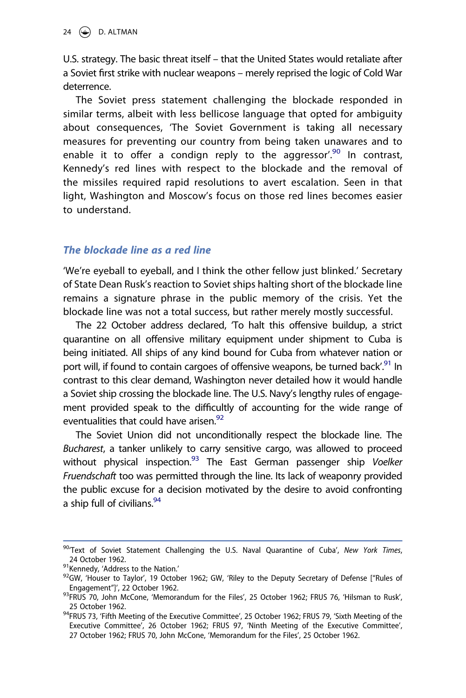U.S. strategy. The basic threat itself – that the United States would retaliate after a Soviet first strike with nuclear weapons – merely reprised the logic of Cold War deterrence.

The Soviet press statement challenging the blockade responded in similar terms, albeit with less bellicose language that opted for ambiguity about consequences, 'The Soviet Government is taking all necessary measures for preventing our country from being taken unawares and to enable it to offer a condign reply to the aggressor<sup>'.90</sup> In contrast, Kennedy's red lines with respect to the blockade and the removal of the missiles required rapid resolutions to avert escalation. Seen in that light, Washington and Moscow's focus on those red lines becomes easier to understand.

# *The blockade line as a red line*

'We're eyeball to eyeball, and I think the other fellow just blinked.' Secretary of State Dean Rusk's reaction to Soviet ships halting short of the blockade line remains a signature phrase in the public memory of the crisis. Yet the blockade line was not a total success, but rather merely mostly successful.

The 22 October address declared, 'To halt this offensive buildup, a strict quarantine on all offensive military equipment under shipment to Cuba is being initiated. All ships of any kind bound for Cuba from whatever nation or port will, if found to contain cargoes of offensive weapons, be turned back<sup>', 91</sup> In contrast to this clear demand, Washington never detailed how it would handle a Soviet ship crossing the blockade line. The U.S. Navy's lengthy rules of engagement provided speak to the difficultly of accounting for the wide range of eventualities that could have arisen.<sup>92</sup>

The Soviet Union did not unconditionally respect the blockade line. The *Bucharest*, a tanker unlikely to carry sensitive cargo, was allowed to proceed without physical inspection[.93](#page-24-3) The East German passenger ship *Voelker Fruendschaft* too was permitted through the line. Its lack of weaponry provided the public excuse for a decision motivated by the desire to avoid confronting a ship full of civilians.<sup>[94](#page-24-4)</sup>

<span id="page-24-0"></span><sup>90&#</sup>x27;Text of Soviet Statement Challenging the U.S. Naval Quarantine of Cuba', *New York Times*, 24 October 1962.<br><sup>91</sup>Kennedy, 'Address to the Nation.'<br><sup>92</sup>GW, 'Houser to Taylor', 19 October 1962; GW, 'Riley to the Deputy Secretary of Defense ["Rules of

<span id="page-24-1"></span>

<span id="page-24-2"></span>Engagement"]', 22 October 1962.<br><sup>93</sup>FRUS 70, John McCone, 'Memorandum for the Files', 25 October 1962; FRUS 76, 'Hilsman to Rusk',

<span id="page-24-3"></span><sup>25</sup> October 1962. 94FRUS 73, 'Fifth Meeting of the Executive Committee', 25 October 1962; FRUS 79, 'Sixth Meeting of the

<span id="page-24-4"></span>Executive Committee', 26 October 1962; FRUS 97, 'Ninth Meeting of the Executive Committee', 27 October 1962; FRUS 70, John McCone, 'Memorandum for the Files', 25 October 1962.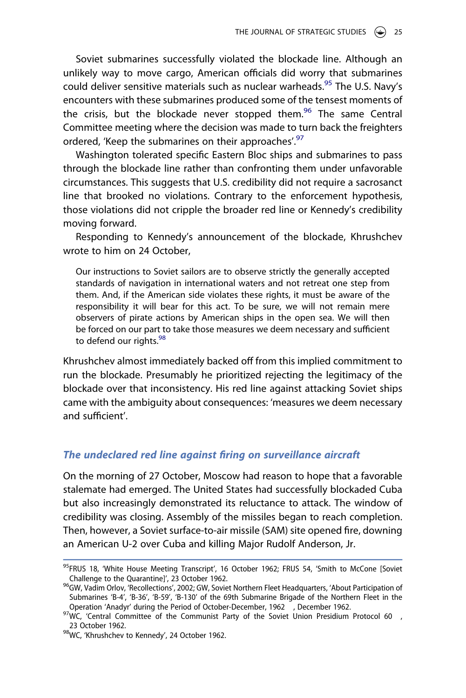Soviet submarines successfully violated the blockade line. Although an unlikely way to move cargo, American officials did worry that submarines could deliver sensitive materials such as nuclear warheads.<sup>95</sup> The U.S. Navy's encounters with these submarines produced some of the tensest moments of the crisis, but the blockade never stopped them.<sup>[96](#page-25-1)</sup> The same Central Committee meeting where the decision was made to turn back the freighters ordered, 'Keep the submarines on their approaches'.<sup>97</sup>

Washington tolerated specific Eastern Bloc ships and submarines to pass through the blockade line rather than confronting them under unfavorable circumstances. This suggests that U.S. credibility did not require a sacrosanct line that brooked no violations. Contrary to the enforcement hypothesis, those violations did not cripple the broader red line or Kennedy's credibility moving forward.

Responding to Kennedy's announcement of the blockade, Khrushchev wrote to him on 24 October,

Our instructions to Soviet sailors are to observe strictly the generally accepted standards of navigation in international waters and not retreat one step from them. And, if the American side violates these rights, it must be aware of the responsibility it will bear for this act. To be sure, we will not remain mere observers of pirate actions by American ships in the open sea. We will then be forced on our part to take those measures we deem necessary and sufficient to defend our rights.<sup>[98](#page-25-3)</sup>

Khrushchev almost immediately backed off from this implied commitment to run the blockade. Presumably he prioritized rejecting the legitimacy of the blockade over that inconsistency. His red line against attacking Soviet ships came with the ambiguity about consequences: 'measures we deem necessary and sufficient'.

#### *The undeclared red line against firing on surveillance aircraft*

On the morning of 27 October, Moscow had reason to hope that a favorable stalemate had emerged. The United States had successfully blockaded Cuba but also increasingly demonstrated its reluctance to attack. The window of credibility was closing. Assembly of the missiles began to reach completion. Then, however, a Soviet surface-to-air missile (SAM) site opened fire, downing an American U-2 over Cuba and killing Major Rudolf Anderson, Jr.

<span id="page-25-0"></span> $95$ FRUS 18, 'White House Meeting Transcript', 16 October 1962; FRUS 54, 'Smith to McCone [Soviet Challenge to the Quarantine]', 23 October 1962.

<span id="page-25-1"></span><sup>&</sup>lt;sup>96</sup>GW, Vadim Orlov, 'Recollections', 2002; GW, Soviet Northern Fleet Headquarters, 'About Participation of Submarines 'B-4', 'B-36', 'B-59', 'B-130' of the 69th Submarine Brigade of the Northern Fleet in the Operation 'Anadyr' during the Period of October-December, 1962 , December 1962.<br><sup>97</sup>WC, 'Central Committee of the Communist Party of the Soviet Union Presidium Protocol 60 ,

<span id="page-25-2"></span><sup>23</sup> October 1962.<br><sup>98</sup>WC, 'Khrushchev to Kennedy', 24 October 1962.

<span id="page-25-3"></span>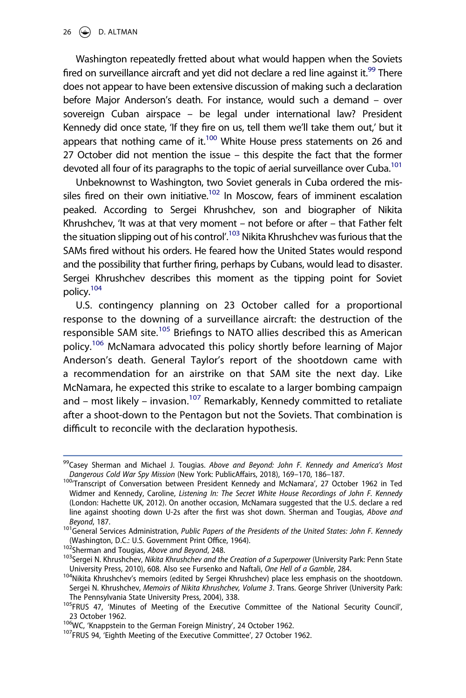Washington repeatedly fretted about what would happen when the Soviets fired on surveillance aircraft and yet did not declare a red line against it.<sup>99</sup> There does not appear to have been extensive discussion of making such a declaration before Major Anderson's death. For instance, would such a demand – over sovereign Cuban airspace – be legal under international law? President Kennedy did once state, 'If they fire on us, tell them we'll take them out,' but it appears that nothing came of it.<sup>100</sup> White House press statements on 26 and 27 October did not mention the issue – this despite the fact that the former devoted all four of its paragraphs to the topic of aerial surveillance over Cuba.<sup>101</sup>

Unbeknownst to Washington, two Soviet generals in Cuba ordered the missiles fired on their own initiative.<sup>102</sup> In Moscow, fears of imminent escalation peaked. According to Sergei Khrushchev, son and biographer of Nikita Khrushchev, 'It was at that very moment – not before or after – that Father felt the situation slipping out of his control'.<sup>103</sup> Nikita Khrushchev was furious that the SAMs fired without his orders. He feared how the United States would respond and the possibility that further firing, perhaps by Cubans, would lead to disaster. Sergei Khrushchev describes this moment as the tipping point for Soviet policy.[104](#page-26-5)

U.S. contingency planning on 23 October called for a proportional response to the downing of a surveillance aircraft: the destruction of the responsible SAM site.<sup>105</sup> Briefings to NATO allies described this as American policy.<sup>106</sup> McNamara advocated this policy shortly before learning of Major Anderson's death. General Taylor's report of the shootdown came with a recommendation for an airstrike on that SAM site the next day. Like McNamara, he expected this strike to escalate to a larger bombing campaign and – most likely – invasion.<sup>107</sup> Remarkably, Kennedy committed to retaliate after a shoot-down to the Pentagon but not the Soviets. That combination is difficult to reconcile with the declaration hypothesis.

<span id="page-26-0"></span><sup>&</sup>lt;sup>99</sup>Casey Sherman and Michael J. Tougias. *Above and Beyond: John F. Kennedy and America's Most*<br>Danaerous Cold War Spy Mission (New York: PublicAffairs, 2018), 169–170, 186–187.

<span id="page-26-1"></span><sup>&</sup>lt;sup>100</sup> Transcript of Conversation between President Kennedy and McNamara', 27 October 1962 in Ted Widmer and Kennedy, Caroline, *Listening In: The Secret White House Recordings of John F. Kennedy*  (London: Hachette UK, 2012). On another occasion, McNamara suggested that the U.S. declare a red line against shooting down U-2s after the first was shot down. Sherman and Tougias, *Above and* 

<span id="page-26-2"></span>*Beyond,* 187.<br><sup>101</sup>General Services Administration, *Public Papers of the Presidents of the United States: John F. Kennedy*<br>(Washington, D.C.: U.S. Government Print Office, 1964).

<span id="page-26-4"></span>

<span id="page-26-3"></span>University Comparent Dealth Office, 1975 Sherman and Tougias, *Above and Beyond*, 248.<br>
103<sub>Sergei</sub> N. Khrushchev, *Nikita Khrushchev and the Creation of a Superpower* (University Park: Penn State<br>
103Sergei N. Khrushchev,

<span id="page-26-5"></span><sup>&</sup>lt;sup>104</sup>Nikita Khrushchev's memoirs (edited by Sergei Khrushchev) place less emphasis on the shootdown. Sergei N. Khrushchev, *Memoirs of Nikita Khrushchev, Volume 3*. Trans. George Shriver (University Park:

<span id="page-26-6"></span>The Pennsylvania State University Press, 2004), 338.<br><sup>105</sup>FRUS 47, 'Minutes of Meeting of the Executive Committee of the National Security Council', 23 October 1962.<br><sup>106</sup>WC, 'Knappstein to the German Foreign Ministry', 24 October 1962.<br><sup>107</sup>FRUS 94, 'Eighth Meeting of the Executive Committee', 27 October 1962.

<span id="page-26-7"></span>

<span id="page-26-8"></span>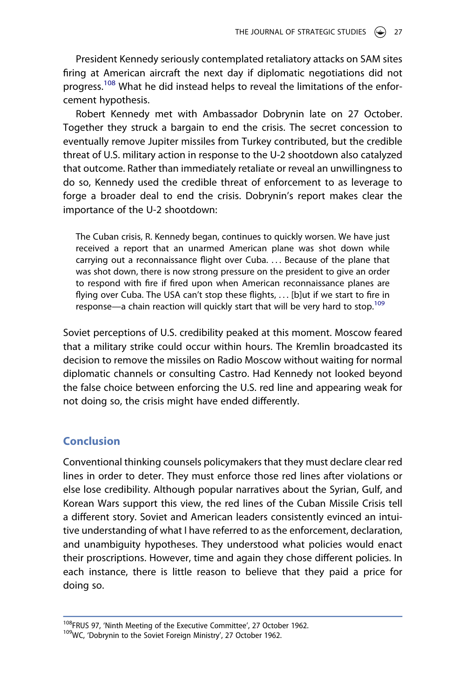President Kennedy seriously contemplated retaliatory attacks on SAM sites firing at American aircraft the next day if diplomatic negotiations did not progress.<sup>108</sup> What he did instead helps to reveal the limitations of the enforcement hypothesis.

Robert Kennedy met with Ambassador Dobrynin late on 27 October. Together they struck a bargain to end the crisis. The secret concession to eventually remove Jupiter missiles from Turkey contributed, but the credible threat of U.S. military action in response to the U-2 shootdown also catalyzed that outcome. Rather than immediately retaliate or reveal an unwillingness to do so, Kennedy used the credible threat of enforcement to as leverage to forge a broader deal to end the crisis. Dobrynin's report makes clear the importance of the U-2 shootdown:

The Cuban crisis, R. Kennedy began, continues to quickly worsen. We have just received a report that an unarmed American plane was shot down while carrying out a reconnaissance flight over Cuba. . . . Because of the plane that was shot down, there is now strong pressure on the president to give an order to respond with fire if fired upon when American reconnaissance planes are flying over Cuba. The USA can't stop these flights, ... [b]ut if we start to fire in response—a chain reaction will quickly start that will be very hard to stop.<sup>[109](#page-27-1)</sup>

Soviet perceptions of U.S. credibility peaked at this moment. Moscow feared that a military strike could occur within hours. The Kremlin broadcasted its decision to remove the missiles on Radio Moscow without waiting for normal diplomatic channels or consulting Castro. Had Kennedy not looked beyond the false choice between enforcing the U.S. red line and appearing weak for not doing so, the crisis might have ended differently.

# **Conclusion**

Conventional thinking counsels policymakers that they must declare clear red lines in order to deter. They must enforce those red lines after violations or else lose credibility. Although popular narratives about the Syrian, Gulf, and Korean Wars support this view, the red lines of the Cuban Missile Crisis tell a different story. Soviet and American leaders consistently evinced an intuitive understanding of what I have referred to as the enforcement, declaration, and unambiguity hypotheses. They understood what policies would enact their proscriptions. However, time and again they chose different policies. In each instance, there is little reason to believe that they paid a price for doing so.

<span id="page-27-0"></span><sup>&</sup>lt;sup>108</sup>FRUS 97, 'Ninth Meeting of the Executive Committee', 27 October 1962.<br><sup>109</sup>WC, 'Dobrynin to the Soviet Foreign Ministry', 27 October 1962.

<span id="page-27-1"></span>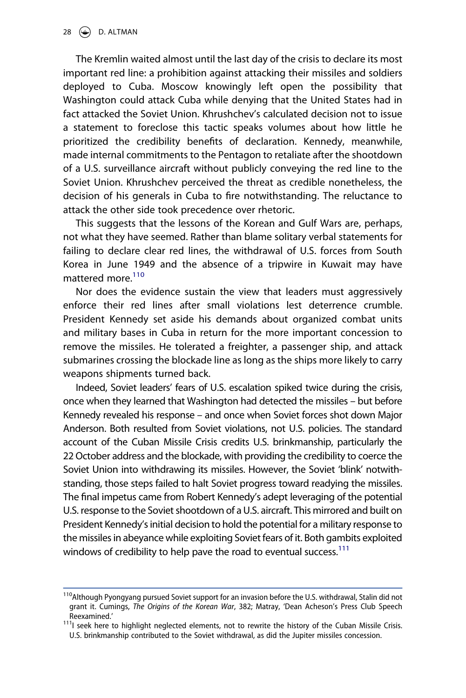The Kremlin waited almost until the last day of the crisis to declare its most important red line: a prohibition against attacking their missiles and soldiers deployed to Cuba. Moscow knowingly left open the possibility that Washington could attack Cuba while denying that the United States had in fact attacked the Soviet Union. Khrushchev's calculated decision not to issue a statement to foreclose this tactic speaks volumes about how little he prioritized the credibility benefits of declaration. Kennedy, meanwhile, made internal commitments to the Pentagon to retaliate after the shootdown of a U.S. surveillance aircraft without publicly conveying the red line to the Soviet Union. Khrushchev perceived the threat as credible nonetheless, the decision of his generals in Cuba to fire notwithstanding. The reluctance to attack the other side took precedence over rhetoric.

This suggests that the lessons of the Korean and Gulf Wars are, perhaps, not what they have seemed. Rather than blame solitary verbal statements for failing to declare clear red lines, the withdrawal of U.S. forces from South Korea in June 1949 and the absence of a tripwire in Kuwait may have mattered more [110](#page-28-0)

Nor does the evidence sustain the view that leaders must aggressively enforce their red lines after small violations lest deterrence crumble. President Kennedy set aside his demands about organized combat units and military bases in Cuba in return for the more important concession to remove the missiles. He tolerated a freighter, a passenger ship, and attack submarines crossing the blockade line as long as the ships more likely to carry weapons shipments turned back.

Indeed, Soviet leaders' fears of U.S. escalation spiked twice during the crisis, once when they learned that Washington had detected the missiles – but before Kennedy revealed his response – and once when Soviet forces shot down Major Anderson. Both resulted from Soviet violations, not U.S. policies. The standard account of the Cuban Missile Crisis credits U.S. brinkmanship, particularly the 22 October address and the blockade, with providing the credibility to coerce the Soviet Union into withdrawing its missiles. However, the Soviet 'blink' notwithstanding, those steps failed to halt Soviet progress toward readying the missiles. The final impetus came from Robert Kennedy's adept leveraging of the potential U.S. response to the Soviet shootdown of a U.S. aircraft. This mirrored and built on President Kennedy's initial decision to hold the potential for a military response to the missiles in abeyance while exploiting Soviet fears of it. Both gambits exploited windows of credibility to help pave the road to eventual success.<sup>111</sup>

<span id="page-28-0"></span><sup>&</sup>lt;sup>110</sup>Although Pyongyang pursued Soviet support for an invasion before the U.S. withdrawal, Stalin did not grant it. Cumings, *The Origins of the Korean War*, 382; Matray, 'Dean Acheson's Press Club Speech

<span id="page-28-1"></span>Reexamined.' 111I seek here to highlight neglected elements, not to rewrite the history of the Cuban Missile Crisis. U.S. brinkmanship contributed to the Soviet withdrawal, as did the Jupiter missiles concession.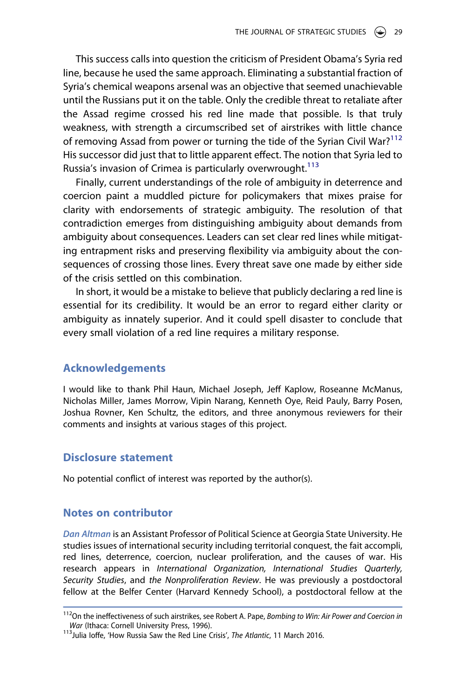This success calls into question the criticism of President Obama's Syria red line, because he used the same approach. Eliminating a substantial fraction of Syria's chemical weapons arsenal was an objective that seemed unachievable until the Russians put it on the table. Only the credible threat to retaliate after the Assad regime crossed his red line made that possible. Is that truly weakness, with strength a circumscribed set of airstrikes with little chance of removing Assad from power or turning the tide of the Syrian Civil War?<sup>[112](#page-29-0)</sup> His successor did just that to little apparent effect. The notion that Syria led to Russia's invasion of Crimea is particularly overwrought.<sup>[113](#page-29-1)</sup>

Finally, current understandings of the role of ambiguity in deterrence and coercion paint a muddled picture for policymakers that mixes praise for clarity with endorsements of strategic ambiguity. The resolution of that contradiction emerges from distinguishing ambiguity about demands from ambiguity about consequences. Leaders can set clear red lines while mitigating entrapment risks and preserving flexibility via ambiguity about the consequences of crossing those lines. Every threat save one made by either side of the crisis settled on this combination.

In short, it would be a mistake to believe that publicly declaring a red line is essential for its credibility. It would be an error to regard either clarity or ambiguity as innately superior. And it could spell disaster to conclude that every small violation of a red line requires a military response.

# **Acknowledgements**

I would like to thank Phil Haun, Michael Joseph, Jeff Kaplow, Roseanne McManus, Nicholas Miller, James Morrow, Vipin Narang, Kenneth Oye, Reid Pauly, Barry Posen, Joshua Rovner, Ken Schultz, the editors, and three anonymous reviewers for their comments and insights at various stages of this project.

#### **Disclosure statement**

No potential conflict of interest was reported by the author(s).

#### **Notes on contributor**

*Dan Altman* is an Assistant Professor of Political Science at Georgia State University. He studies issues of international security including territorial conquest, the fait accompli, red lines, deterrence, coercion, nuclear proliferation, and the causes of war. His research appears in *International Organization, International Studies Quarterly, Security Studies*, and *the Nonproliferation Review*. He was previously a postdoctoral fellow at the Belfer Center (Harvard Kennedy School), a postdoctoral fellow at the

<span id="page-29-0"></span><sup>112</sup>On the ineffectiveness of such airstrikes, see Robert A. Pape, *Bombing to Win: Air Power and Coercion in* 

<span id="page-29-1"></span><sup>&</sup>lt;sup>113</sup> Julia Ioffe, 'How Russia Saw the Red Line Crisis', *The Atlantic*, 11 March 2016.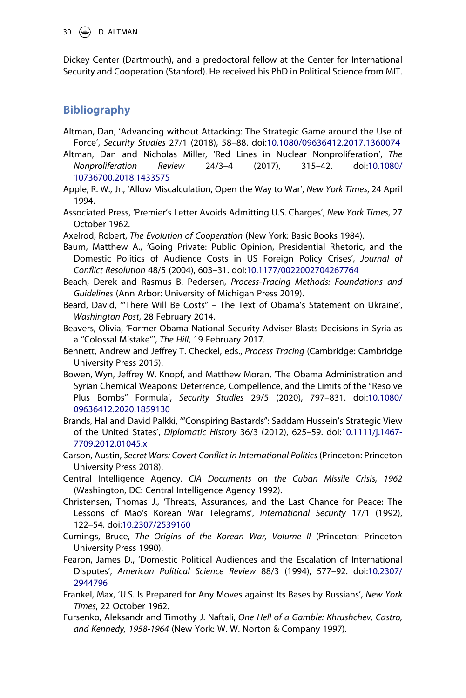30  $\left(\frac{1}{2}\right)$  D. ALTMAN

Dickey Center (Dartmouth), and a predoctoral fellow at the Center for International Security and Cooperation (Stanford). He received his PhD in Political Science from MIT.

# **Bibliography**

- Altman, Dan, 'Advancing without Attacking: The Strategic Game around the Use of Force', *Security Studies* 27/1 (2018), 58–88. doi:[10.1080/09636412.2017.1360074](https://doi.org/10.1080/09636412.2017.1360074)
- Altman, Dan and Nicholas Miller, 'Red Lines in Nuclear Nonproliferation', *The Nonproliferation Review* 24/3–4 (2017), 315–42. doi:[10.1080/](https://doi.org/10.1080/10736700.2018.1433575) [10736700.2018.1433575](https://doi.org/10.1080/10736700.2018.1433575)
- Apple, R. W., Jr., 'Allow Miscalculation, Open the Way to War', *New York Times*, 24 April 1994.
- Associated Press, 'Premier's Letter Avoids Admitting U.S. Charges', *New York Times*, 27 October 1962.
- Axelrod, Robert, *The Evolution of Cooperation* (New York: Basic Books 1984).
- Baum, Matthew A., 'Going Private: Public Opinion, Presidential Rhetoric, and the Domestic Politics of Audience Costs in US Foreign Policy Crises', *Journal of Conflict Resolution* 48/5 (2004), 603–31. doi:[10.1177/0022002704267764](https://doi.org/10.1177/0022002704267764)
- Beach, Derek and Rasmus B. Pedersen, *Process-Tracing Methods: Foundations and Guidelines* (Ann Arbor: University of Michigan Press 2019).
- Beard, David, '"There Will Be Costs" The Text of Obama's Statement on Ukraine', *Washington Post*, 28 February 2014.
- Beavers, Olivia, 'Former Obama National Security Adviser Blasts Decisions in Syria as a "Colossal Mistake"', *The Hill*, 19 February 2017.
- Bennett, Andrew and Jeffrey T. Checkel, eds., *Process Tracing* (Cambridge: Cambridge University Press 2015).
- Bowen, Wyn, Jeffrey W. Knopf, and Matthew Moran, 'The Obama Administration and Syrian Chemical Weapons: Deterrence, Compellence, and the Limits of the "Resolve Plus Bombs" Formula', *Security Studies* 29/5 (2020), 797–831. doi:[10.1080/](https://doi.org/10.1080/09636412.2020.1859130) [09636412.2020.1859130](https://doi.org/10.1080/09636412.2020.1859130)
- Brands, Hal and David Palkki, '"Conspiring Bastards": Saddam Hussein's Strategic View of the United States', *Diplomatic History* 36/3 (2012), 625–59. doi:[10.1111/j.1467-](https://doi.org/10.1111/j.1467-7709.2012.01045.x) [7709.2012.01045.x](https://doi.org/10.1111/j.1467-7709.2012.01045.x)
- Carson, Austin, *Secret Wars: Covert Conflict in International Politics* (Princeton: Princeton University Press 2018).
- Central Intelligence Agency. *CIA Documents on the Cuban Missile Crisis, 1962*  (Washington, DC: Central Intelligence Agency 1992).
- Christensen, Thomas J., 'Threats, Assurances, and the Last Chance for Peace: The Lessons of Mao's Korean War Telegrams', *International Security* 17/1 (1992), 122–54. doi:[10.2307/2539160](https://doi.org/10.2307/2539160)
- Cumings, Bruce, *The Origins of the Korean War, Volume II* (Princeton: Princeton University Press 1990).
- Fearon, James D., 'Domestic Political Audiences and the Escalation of International Disputes', *American Political Science Review* 88/3 (1994), 577–92. doi:[10.2307/](https://doi.org/10.2307/2944796) [2944796](https://doi.org/10.2307/2944796)
- Frankel, Max, 'U.S. Is Prepared for Any Moves against Its Bases by Russians', *New York Times*, 22 October 1962.
- Fursenko, Aleksandr and Timothy J. Naftali, *One Hell of a Gamble: Khrushchev, Castro, and Kennedy, 1958-1964* (New York: W. W. Norton & Company 1997).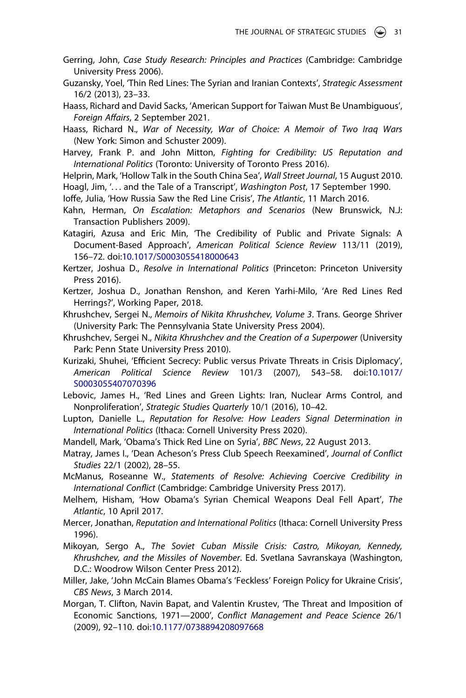- Gerring, John, *Case Study Research: Principles and Practices* (Cambridge: Cambridge University Press 2006).
- Guzansky, Yoel, 'Thin Red Lines: The Syrian and Iranian Contexts', *Strategic Assessment*  16/2 (2013), 23–33.
- Haass, Richard and David Sacks, 'American Support for Taiwan Must Be Unambiguous', *Foreign Affairs*, 2 September 2021.
- Haass, Richard N., *War of Necessity, War of Choice: A Memoir of Two Iraq Wars*  (New York: Simon and Schuster 2009).
- Harvey, Frank P. and John Mitton, *Fighting for Credibility: US Reputation and International Politics* (Toronto: University of Toronto Press 2016).
- Helprin, Mark, 'Hollow Talk in the South China Sea', *Wall Street Journal*, 15 August 2010. Hoagl, Jim, '. . . and the Tale of a Transcript', *Washington Post*, 17 September 1990.
- Ioffe, Julia, 'How Russia Saw the Red Line Crisis', *The Atlantic*, 11 March 2016.
- Kahn, Herman, *On Escalation: Metaphors and Scenarios* (New Brunswick, N.J: Transaction Publishers 2009).
- Katagiri, Azusa and Eric Min, 'The Credibility of Public and Private Signals: A Document-Based Approach', *American Political Science Review* 113/11 (2019), 156–72. doi:[10.1017/S0003055418000643](https://doi.org/10.1017/S0003055418000643)

Kertzer, Joshua D., *Resolve in International Politics* (Princeton: Princeton University Press 2016).

- Kertzer, Joshua D., Jonathan Renshon, and Keren Yarhi-Milo, 'Are Red Lines Red Herrings?', Working Paper, 2018.
- Khrushchev, Sergei N., *Memoirs of Nikita Khrushchev, Volume 3*. Trans. George Shriver (University Park: The Pennsylvania State University Press 2004).
- Khrushchev, Sergei N., *Nikita Khrushchev and the Creation of a Superpower* (University Park: Penn State University Press 2010).
- Kurizaki, Shuhei, 'Efficient Secrecy: Public versus Private Threats in Crisis Diplomacy', *American Political Science Review* 101/3 (2007), 543–58. doi:[10.1017/](https://doi.org/10.1017/S0003055407070396) [S0003055407070396](https://doi.org/10.1017/S0003055407070396)
- Lebovic, James H., 'Red Lines and Green Lights: Iran, Nuclear Arms Control, and Nonproliferation', *Strategic Studies Quarterly* 10/1 (2016), 10–42.
- Lupton, Danielle L., *Reputation for Resolve: How Leaders Signal Determination in International Politics* (Ithaca: Cornell University Press 2020).
- Mandell, Mark, 'Obama's Thick Red Line on Syria', *BBC News*, 22 August 2013.
- Matray, James I., 'Dean Acheson's Press Club Speech Reexamined', *Journal of Conflict Studies* 22/1 (2002), 28–55.
- McManus, Roseanne W., *Statements of Resolve: Achieving Coercive Credibility in International Conflict* (Cambridge: Cambridge University Press 2017).
- Melhem, Hisham, 'How Obama's Syrian Chemical Weapons Deal Fell Apart', *The Atlantic*, 10 April 2017.
- Mercer, Jonathan, *Reputation and International Politics* (Ithaca: Cornell University Press 1996).
- Mikoyan, Sergo A., *The Soviet Cuban Missile Crisis: Castro, Mikoyan, Kennedy, Khrushchev, and the Missiles of November*. Ed. Svetlana Savranskaya (Washington, D.C.: Woodrow Wilson Center Press 2012).
- Miller, Jake, 'John McCain Blames Obama's 'Feckless' Foreign Policy for Ukraine Crisis', *CBS News*, 3 March 2014.
- Morgan, T. Clifton, Navin Bapat, and Valentin Krustev, 'The Threat and Imposition of Economic Sanctions, 1971—2000', *Conflict Management and Peace Science* 26/1 (2009), 92–110. doi:[10.1177/0738894208097668](https://doi.org/10.1177/0738894208097668)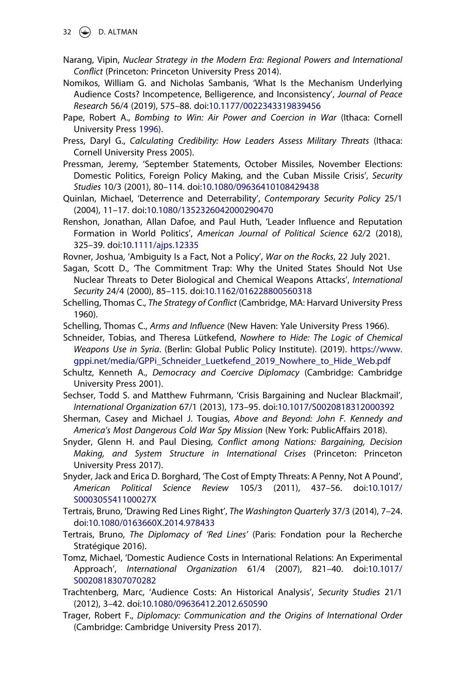$32 \quad \circledast$  D. ALTMAN

- Narang, Vipin, *Nuclear Strategy in the Modern Era: Regional Powers and International Conflict* (Princeton: Princeton University Press 2014).
- Nomikos, William G. and Nicholas Sambanis, 'What Is the Mechanism Underlying Audience Costs? Incompetence, Belligerence, and Inconsistency', *Journal of Peace Research* 56/4 (2019), 575–88. doi:[10.1177/0022343319839456](https://doi.org/10.1177/0022343319839456)
- <span id="page-32-0"></span>Pape, Robert A., *Bombing to Win: Air Power and Coercion in War* (Ithaca: Cornell University Press [1996](#page-7-7)).
- Press, Daryl G., *Calculating Credibility: How Leaders Assess Military Threats* (Ithaca: Cornell University Press 2005).
- Pressman, Jeremy, 'September Statements, October Missiles, November Elections: Domestic Politics, Foreign Policy Making, and the Cuban Missile Crisis', *Security Studies* 10/3 (2001), 80–114. doi:[10.1080/09636410108429438](https://doi.org/10.1080/09636410108429438)
- Quinlan, Michael, 'Deterrence and Deterrability', *Contemporary Security Policy* 25/1 (2004), 11–17. doi:[10.1080/1352326042000290470](https://doi.org/10.1080/1352326042000290470)
- Renshon, Jonathan, Allan Dafoe, and Paul Huth, 'Leader Influence and Reputation Formation in World Politics', *American Journal of Political Science* 62/2 (2018), 325–39. doi:[10.1111/ajps.12335](https://doi.org/10.1111/ajps.12335)
- Rovner, Joshua, 'Ambiguity Is a Fact, Not a Policy', *War on the Rocks*, 22 July 2021.
- Sagan, Scott D., 'The Commitment Trap: Why the United States Should Not Use Nuclear Threats to Deter Biological and Chemical Weapons Attacks', *International Security* 24/4 (2000), 85–115. doi:[10.1162/016228800560318](https://doi.org/10.1162/016228800560318)
- Schelling, Thomas C., *The Strategy of Conflict* (Cambridge, MA: Harvard University Press 1960).
- Schelling, Thomas C., *Arms and Influence* (New Haven: Yale University Press 1966).
- Schneider, Tobias, and Theresa Lütkefend, *Nowhere to Hide: The Logic of Chemical Weapons Use in Syria*. (Berlin: Global Public Policy Institute). (2019). [https://www.](https://www.gppi.net/media/GPPi_Schneider_Luetkefend_2019_Nowhere_to_Hide_Web.pdf) [gppi.net/media/GPPi\\_Schneider\\_Luetkefend\\_2019\\_Nowhere\\_to\\_Hide\\_Web.pdf](https://www.gppi.net/media/GPPi_Schneider_Luetkefend_2019_Nowhere_to_Hide_Web.pdf)
- Schultz, Kenneth A., *Democracy and Coercive Diplomacy* (Cambridge: Cambridge University Press 2001).
- Sechser, Todd S. and Matthew Fuhrmann, 'Crisis Bargaining and Nuclear Blackmail', *International Organization* 67/1 (2013), 173–95. doi:[10.1017/S0020818312000392](https://doi.org/10.1017/S0020818312000392)
- Sherman, Casey and Michael J. Tougias, *Above and Beyond: John F. Kennedy and America's Most Dangerous Cold War Spy Mission* (New York: PublicAffairs 2018).
- Snyder, Glenn H. and Paul Diesing, *Conflict among Nations: Bargaining, Decision Making, and System Structure in International Crises* (Princeton: Princeton University Press 2017).
- Snyder, Jack and Erica D. Borghard, 'The Cost of Empty Threats: A Penny, Not A Pound', *American Political Science Review* 105/3 (2011), 437–56. doi:[10.1017/](https://doi.org/10.1017/S000305541100027X) [S000305541100027X](https://doi.org/10.1017/S000305541100027X)
- Tertrais, Bruno, 'Drawing Red Lines Right', *The Washington Quarterly* 37/3 (2014), 7–24. doi:[10.1080/0163660X.2014.978433](https://doi.org/10.1080/0163660X.2014.978433)
- Tertrais, Bruno, *The Diplomacy of 'Red Lines'* (Paris: Fondation pour la Recherche Stratégique 2016).
- Tomz, Michael, 'Domestic Audience Costs in International Relations: An Experimental Approach', *International Organization* 61/4 (2007), 821–40. doi:[10.1017/](https://doi.org/10.1017/S0020818307070282) [S0020818307070282](https://doi.org/10.1017/S0020818307070282)
- Trachtenberg, Marc, 'Audience Costs: An Historical Analysis', *Security Studies* 21/1 (2012), 3–42. doi:[10.1080/09636412.2012.650590](https://doi.org/10.1080/09636412.2012.650590)
- Trager, Robert F., *Diplomacy: Communication and the Origins of International Order*  (Cambridge: Cambridge University Press 2017).